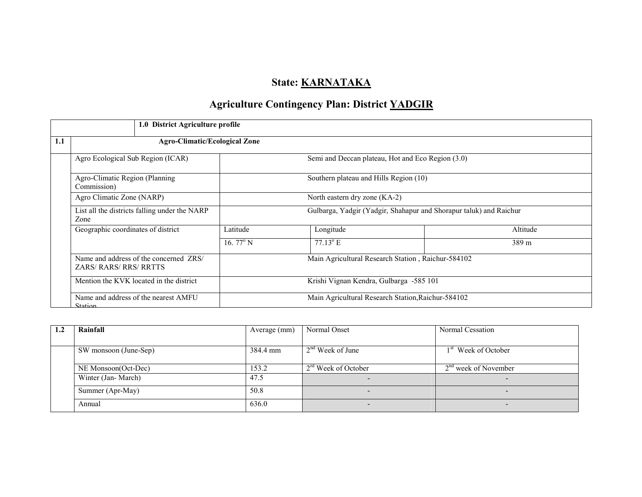# State: **KARNATAKA**

# Agriculture Contingency Plan: District YADGIR

|     | 1.0 District Agriculture profile                              |                                                                    |                                                   |          |  |  |  |
|-----|---------------------------------------------------------------|--------------------------------------------------------------------|---------------------------------------------------|----------|--|--|--|
| 1.1 | <b>Agro-Climatic/Ecological Zone</b>                          |                                                                    |                                                   |          |  |  |  |
|     | Agro Ecological Sub Region (ICAR)                             |                                                                    | Semi and Deccan plateau, Hot and Eco Region (3.0) |          |  |  |  |
|     | Agro-Climatic Region (Planning<br>Commission)                 |                                                                    | Southern plateau and Hills Region (10)            |          |  |  |  |
|     | Agro Climatic Zone (NARP)                                     | North eastern dry zone (KA-2)                                      |                                                   |          |  |  |  |
|     | List all the districts falling under the NARP<br>Zone         | Gulbarga, Yadgir (Yadgir, Shahapur and Shorapur taluk) and Raichur |                                                   |          |  |  |  |
|     | Geographic coordinates of district                            | Latitude                                                           | Longitude                                         | Altitude |  |  |  |
|     |                                                               | 16.77 $\rm ^{o}$ N                                                 | $77.13^{\circ}$ E                                 | 389 m    |  |  |  |
|     | Name and address of the concerned ZRS/<br>ZARS/RARS/RRS/RRTTS | Main Agricultural Research Station, Raichur-584102                 |                                                   |          |  |  |  |
|     | Mention the KVK located in the district                       | Krishi Vignan Kendra, Gulbarga -585 101                            |                                                   |          |  |  |  |
|     | Name and address of the nearest AMFU<br><b>Station</b>        | Main Agricultural Research Station, Raichur-584102                 |                                                   |          |  |  |  |

| $1.2\,$ | Rainfall              | Average (mm) | Normal Onset          | Normal Cessation                |
|---------|-----------------------|--------------|-----------------------|---------------------------------|
|         |                       |              |                       |                                 |
|         | SW monsoon (June-Sep) | 384.4 mm     | $2nd$ Week of June    | 1 <sup>st</sup> Week of October |
|         |                       |              |                       |                                 |
|         | NE Monsoon(Oct-Dec)   | 153.2        | $2rd$ Week of October | $2nd$ week of November          |
|         | Winter (Jan-March)    | 47.5         |                       |                                 |
|         | Summer (Apr-May)      | 50.8         |                       |                                 |
|         | Annual                | 636.0        |                       |                                 |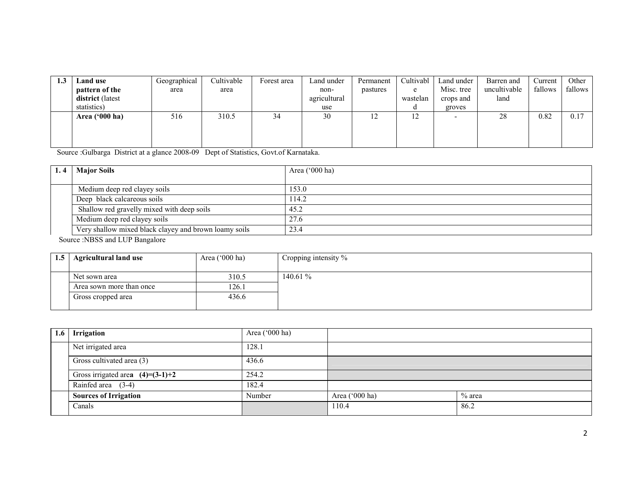| 1.J | <b>Land use</b>  | Geographical | Cultivable | Forest area | Land under   | Permanent | Cultivabl | Land under | Barren and   | Current | Other   |
|-----|------------------|--------------|------------|-------------|--------------|-----------|-----------|------------|--------------|---------|---------|
|     | pattern of the   | area         | area       |             | non-         | pastures  | e         | Misc. tree | uncultivable | fallows | fallows |
|     | district (latest |              |            |             | agricultural |           | wastelan  | crops and  | land         |         |         |
|     | statistics)      |              |            |             | use          |           | u         | groves     |              |         |         |
|     | Area ('000 ha)   | 516          | 310.5      | 34          | 30           | ست        | 12        |            | 28           | 0.82    | 0.17    |
|     |                  |              |            |             |              |           |           |            |              |         |         |
|     |                  |              |            |             |              |           |           |            |              |         |         |
|     |                  |              |            |             |              |           |           |            |              |         |         |

Source :Gulbarga District at a glance 2008-09 Dept of Statistics, Govt.of Karnataka.

| <b>Major Soils</b>                                    | Area $('000 ha)$ |
|-------------------------------------------------------|------------------|
|                                                       |                  |
| Medium deep red clayey soils                          | 153.0            |
| Deep black calcareous soils                           | 114.2            |
| Shallow red gravelly mixed with deep soils            | 45.2             |
| Medium deep red clayey soils                          | 27.6             |
| Very shallow mixed black clayey and brown loamy soils | 23.4             |

Source :NBSS and LUP Bangalore

| 1.5 | <b>Agricultural land use</b> | Area $(000 \text{ ha})$ | Cropping intensity $\%$ |
|-----|------------------------------|-------------------------|-------------------------|
|     |                              |                         |                         |
|     | Net sown area                | 310.5                   | 140.61 %                |
|     | Area sown more than once     | 126.1                   |                         |
|     | Gross cropped area           | 436.6                   |                         |
|     |                              |                         |                         |

| 1.6 | <b>Irrigation</b>                  | Area ('000 ha) |                |          |
|-----|------------------------------------|----------------|----------------|----------|
|     | Net irrigated area                 | 128.1          |                |          |
|     | Gross cultivated area (3)          | 436.6          |                |          |
|     | Gross irrigated area $(4)=(3-1)+2$ | 254.2          |                |          |
|     | Rainfed area $(3-4)$               | 182.4          |                |          |
|     | <b>Sources of Irrigation</b>       | Number         | Area ('000 ha) | $%$ area |
|     | Canals                             |                | 110.4          | 86.2     |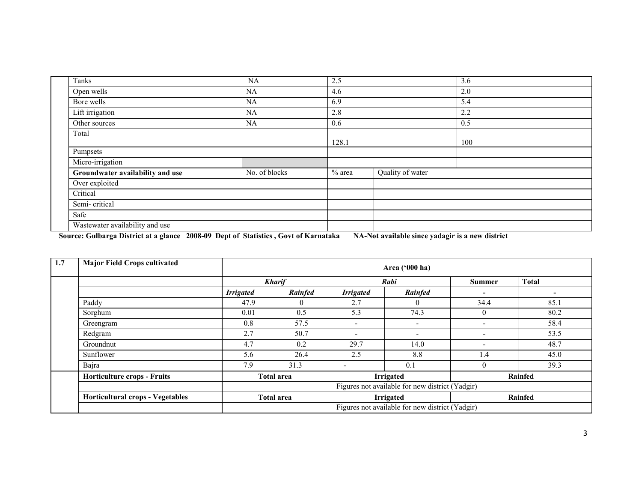| Tanks                            | NA            | 2.5      |                  | 3.6 |  |
|----------------------------------|---------------|----------|------------------|-----|--|
| Open wells                       | <b>NA</b>     | 4.6      |                  | 2.0 |  |
| Bore wells                       | <b>NA</b>     | 6.9      |                  | 5.4 |  |
| Lift irrigation                  | NA            | 2.8      |                  | 2.2 |  |
| Other sources                    | <b>NA</b>     | 0.6      |                  | 0.5 |  |
| Total                            |               | 128.1    |                  | 100 |  |
| Pumpsets                         |               |          |                  |     |  |
| Micro-irrigation                 |               |          |                  |     |  |
| Groundwater availability and use | No. of blocks | $%$ area | Quality of water |     |  |
| Over exploited                   |               |          |                  |     |  |
| Critical                         |               |          |                  |     |  |
| Semi-critical                    |               |          |                  |     |  |
| Safe                             |               |          |                  |     |  |
| Wastewater availability and use  |               |          |                  |     |  |

Source: Gulbarga District at a glance 2008-09 Dept of Statistics , Govt of Karnataka NA-Not available since yadagir is a new district

| 1.7 | <b>Major Field Crops cultivated</b>     |                  | Area ('000 ha)                                   |                          |                                                 |                          |                          |  |
|-----|-----------------------------------------|------------------|--------------------------------------------------|--------------------------|-------------------------------------------------|--------------------------|--------------------------|--|
|     |                                         |                  | <b>Kharif</b>                                    | Rabi                     |                                                 | <b>Summer</b>            | <b>Total</b>             |  |
|     |                                         | <b>Irrigated</b> | Rainfed                                          | <b>Irrigated</b>         | Rainfed                                         | -                        | $\overline{\phantom{0}}$ |  |
|     | Paddy                                   | 47.9             | $\theta$                                         | 2.7                      | $\theta$                                        | 34.4                     | 85.1                     |  |
|     | Sorghum                                 | 0.01             | 0.5                                              | 5.3                      | 74.3                                            | $\theta$                 | 80.2                     |  |
|     | Greengram                               | 0.8              | 57.5                                             | $\overline{\phantom{0}}$ | $\overline{\phantom{0}}$                        |                          | 58.4                     |  |
|     | Redgram                                 | 2.7              | 50.7                                             | $\overline{\phantom{a}}$ | $\overline{\phantom{0}}$                        | $\overline{\phantom{0}}$ | 53.5                     |  |
|     | Groundnut                               | 4.7              | 0.2                                              | 29.7                     | 14.0                                            | $\overline{\phantom{0}}$ | 48.7                     |  |
|     | Sunflower                               | 5.6              | 26.4                                             | 2.5                      | 8.8                                             | 1.4                      | 45.0                     |  |
|     | Bajra                                   | 7.9              | 31.3                                             | $\overline{\phantom{a}}$ | 0.1                                             | $\theta$                 | 39.3                     |  |
|     | <b>Horticulture crops - Fruits</b>      |                  | <b>Irrigated</b><br>Rainfed<br><b>Total area</b> |                          |                                                 |                          |                          |  |
|     |                                         |                  | Figures not available for new district (Yadgir)  |                          |                                                 |                          |                          |  |
|     | <b>Horticultural crops - Vegetables</b> |                  | <b>Irrigated</b><br><b>Total area</b><br>Rainfed |                          |                                                 |                          |                          |  |
|     |                                         |                  |                                                  |                          | Figures not available for new district (Yadgir) |                          |                          |  |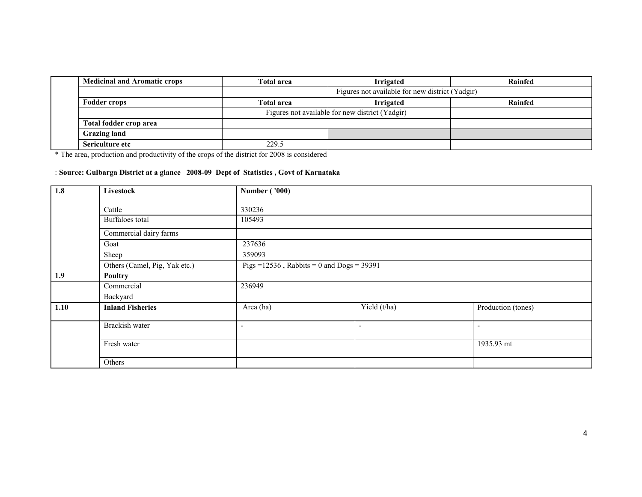| <b>Medicinal and Aromatic crops</b> | Total area        | <b>Irrigated</b>                                | Rainfed |  |  |  |  |  |  |
|-------------------------------------|-------------------|-------------------------------------------------|---------|--|--|--|--|--|--|
|                                     |                   | Figures not available for new district (Yadgir) |         |  |  |  |  |  |  |
| <b>Fodder crops</b>                 | <b>Total area</b> | <b>Irrigated</b>                                | Rainfed |  |  |  |  |  |  |
|                                     |                   | Figures not available for new district (Yadgir) |         |  |  |  |  |  |  |
| Total fodder crop area              |                   |                                                 |         |  |  |  |  |  |  |
| <b>Grazing land</b>                 |                   |                                                 |         |  |  |  |  |  |  |
| Sericulture etc                     | 229.5             |                                                 |         |  |  |  |  |  |  |

\* The area, production and productivity of the crops of the district for 2008 is considered

# : Source: Gulbarga District at a glance 2008-09 Dept of Statistics , Govt of Karnataka

| 1.8  | Livestock                     | <b>Number ('000)</b>     |                                               |                          |  |  |  |
|------|-------------------------------|--------------------------|-----------------------------------------------|--------------------------|--|--|--|
|      | Cattle                        | 330236                   |                                               |                          |  |  |  |
|      |                               |                          |                                               |                          |  |  |  |
|      | Buffaloes total               | 105493                   |                                               |                          |  |  |  |
|      | Commercial dairy farms        |                          |                                               |                          |  |  |  |
|      | Goat                          | 237636                   |                                               |                          |  |  |  |
|      | Sheep                         | 359093                   |                                               |                          |  |  |  |
|      | Others (Camel, Pig, Yak etc.) |                          | Pigs = $12536$ , Rabbits = 0 and Dogs = 39391 |                          |  |  |  |
| 1.9  | <b>Poultry</b>                |                          |                                               |                          |  |  |  |
|      | Commercial                    | 236949                   |                                               |                          |  |  |  |
|      | Backyard                      |                          |                                               |                          |  |  |  |
| 1.10 | <b>Inland Fisheries</b>       | Area (ha)                | Yield (t/ha)                                  | Production (tones)       |  |  |  |
|      | Brackish water                | $\overline{\phantom{a}}$ | $\overline{\phantom{a}}$                      | $\overline{\phantom{a}}$ |  |  |  |
|      | Fresh water                   |                          |                                               | 1935.93 mt               |  |  |  |
|      | Others                        |                          |                                               |                          |  |  |  |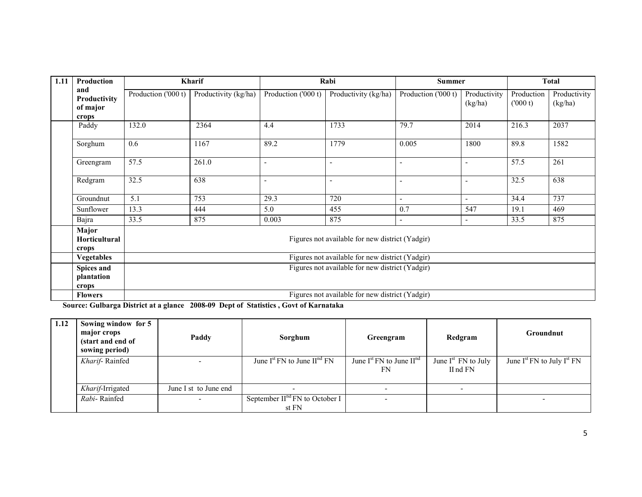| 1.11 | Production                               |                                                 | Kharif               |                          | Rabi                                            | <b>Summer</b>            |                          |                       | <b>Total</b>            |
|------|------------------------------------------|-------------------------------------------------|----------------------|--------------------------|-------------------------------------------------|--------------------------|--------------------------|-----------------------|-------------------------|
|      | and<br>Productivity<br>of major<br>crops | Production ('000 t)                             | Productivity (kg/ha) | Production ('000 t)      | Productivity (kg/ha)                            | Production ('000 t)      | Productivity<br>(kg/ha)  | Production<br>(000 t) | Productivity<br>(kg/ha) |
|      | Paddy                                    | 132.0                                           | 2364                 | 4.4                      | 1733                                            | 79.7                     | 2014                     | 216.3                 | 2037                    |
|      | Sorghum                                  | 0.6                                             | 1167                 | 89.2                     | 1779                                            | 0.005                    | 1800                     | 89.8                  | 1582                    |
|      | Greengram                                | 57.5                                            | 261.0                | $\blacksquare$           | $\overline{\phantom{a}}$                        | $\overline{\phantom{a}}$ | $\overline{\phantom{a}}$ | 57.5                  | 261                     |
|      | Redgram                                  | 32.5                                            | 638                  | $\overline{\phantom{a}}$ | $\overline{\phantom{a}}$                        | $\overline{\phantom{a}}$ | $\overline{\phantom{a}}$ | 32.5                  | 638                     |
|      | Groundnut                                | 5.1                                             | 753                  | 29.3                     | 720                                             | $\blacksquare$           | $\blacksquare$           | 34.4                  | 737                     |
|      | Sunflower                                | 13.3                                            | 444                  | 5.0                      | 455                                             | 0.7                      | 547                      | 19.1                  | 469                     |
|      | Bajra                                    | 33.5                                            | 875                  | 0.003                    | 875                                             | $\overline{\phantom{a}}$ | $\blacksquare$           | 33.5                  | 875                     |
|      | Major<br><b>Horticultural</b><br>crops   | Figures not available for new district (Yadgir) |                      |                          |                                                 |                          |                          |                       |                         |
|      | <b>Vegetables</b>                        | Figures not available for new district (Yadgir) |                      |                          |                                                 |                          |                          |                       |                         |
|      | Spices and<br>plantation<br>crops        |                                                 |                      |                          | Figures not available for new district (Yadgir) |                          |                          |                       |                         |
|      | <b>Flowers</b>                           |                                                 |                      |                          | Figures not available for new district (Yadgir) |                          |                          |                       |                         |

Source: Gulbarga District at a glance 2008-09 Dept of Statistics , Govt of Karnataka

| 1.12 | Sowing window for 5<br>major crops<br>(start and end of<br>sowing period) | Paddy                 | Sorghum                                             | Greengram                                | Redgram                              | Groundnut                            |
|------|---------------------------------------------------------------------------|-----------------------|-----------------------------------------------------|------------------------------------------|--------------------------------------|--------------------------------------|
|      | Kharif-Rainfed                                                            |                       | June $I^{st}$ FN to June $II^{nd}$ FN               | June $I^{st}$ FN to June $II^{nd}$<br>FN | June $I^{st}$ FN to July<br>II nd FN | June $I^{st}$ FN to July $I^{st}$ FN |
|      | Kharif-Irrigated                                                          | June I st to June end |                                                     |                                          |                                      |                                      |
|      | Rabi-Rainfed                                                              |                       | September II <sup>nd</sup> FN to October I<br>st FN |                                          |                                      |                                      |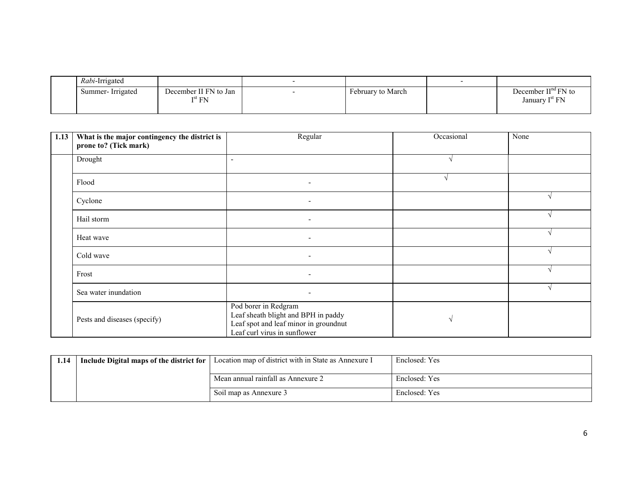| Rabi-Irrigated   |                                          |                   |                                                     |
|------------------|------------------------------------------|-------------------|-----------------------------------------------------|
| Summer-Irrigated | December II FN to Jan<br>$\rm I^{st}$ FN | February to March | December $IIna FN$ to<br>January I <sup>st</sup> FN |
|                  |                                          |                   |                                                     |

| 1.13 | What is the major contingency the district is<br>prone to? (Tick mark) | Regular                                                                                                                              | Occasional | None |
|------|------------------------------------------------------------------------|--------------------------------------------------------------------------------------------------------------------------------------|------------|------|
|      | Drought                                                                | $\overline{\phantom{a}}$                                                                                                             |            |      |
|      | Flood                                                                  | $\overline{\phantom{a}}$                                                                                                             |            |      |
|      | Cyclone                                                                | $\overline{\phantom{a}}$                                                                                                             |            |      |
|      | Hail storm                                                             | $\overline{\phantom{a}}$                                                                                                             |            |      |
|      | Heat wave                                                              | $\overline{\phantom{a}}$                                                                                                             |            |      |
|      | Cold wave                                                              |                                                                                                                                      |            |      |
|      | Frost                                                                  | $\overline{\phantom{0}}$                                                                                                             |            |      |
|      | Sea water inundation                                                   | $\overline{\phantom{a}}$                                                                                                             |            |      |
|      | Pests and diseases (specify)                                           | Pod borer in Redgram<br>Leaf sheath blight and BPH in paddy<br>Leaf spot and leaf minor in groundnut<br>Leaf curl virus in sunflower |            |      |

| 1.14 | Include Digital maps of the district for | Location map of district with in State as Annexure I | Enclosed: Yes |
|------|------------------------------------------|------------------------------------------------------|---------------|
|      |                                          |                                                      |               |
|      |                                          | Mean annual rainfall as Annexure 2                   | Enclosed: Yes |
|      |                                          | Soil map as Annexure 3                               | Enclosed: Yes |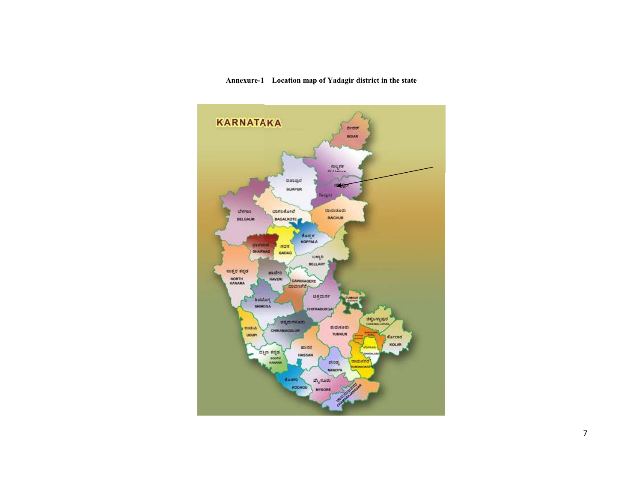#### Annexure-1 Location map of Yadagir district in the state

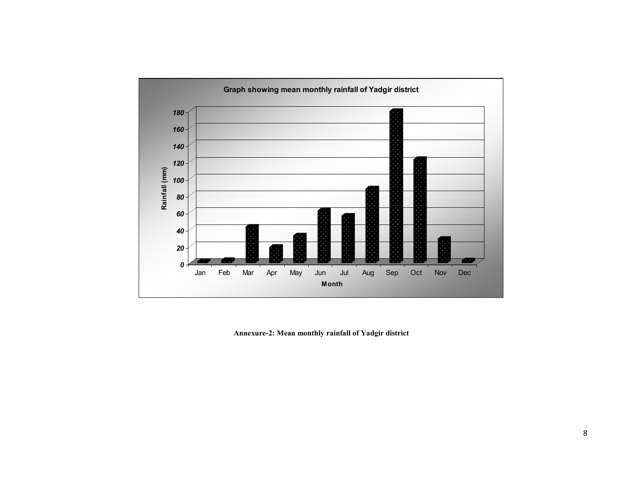

Annexure-2: Mean monthly rainfall of Yadgir district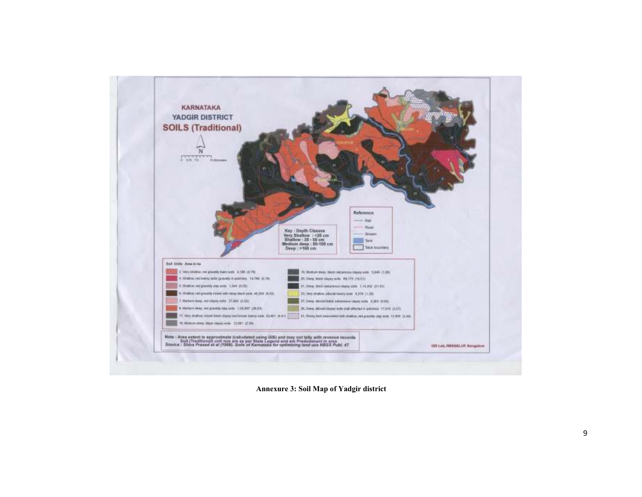

Annexure 3: Soil Map of Yadgir district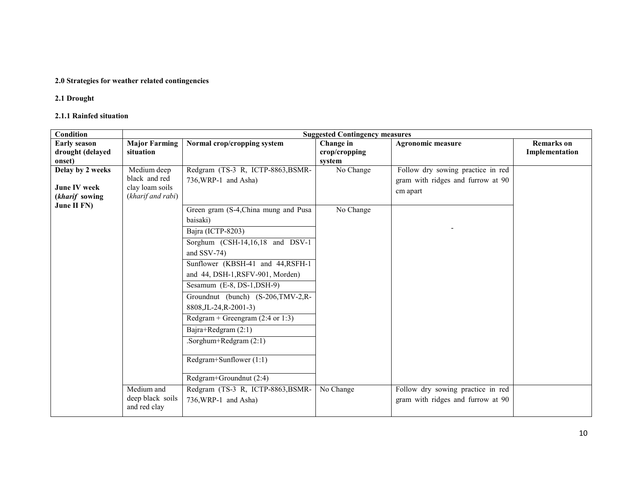#### 2.0 Strategies for weather related contingencies

## 2.1 Drought

#### 2.1.1 Rainfed situation

| <b>Condition</b>              |                                  |                                             | <b>Suggested Contingency measures</b> |                                   |                   |
|-------------------------------|----------------------------------|---------------------------------------------|---------------------------------------|-----------------------------------|-------------------|
| <b>Early season</b>           | <b>Major Farming</b>             | Normal crop/cropping system                 | Change in                             | <b>Agronomic measure</b>          | <b>Remarks</b> on |
| drought (delayed              | situation                        |                                             | crop/cropping                         |                                   | Implementation    |
| onset)                        |                                  |                                             | system                                |                                   |                   |
| Delay by 2 weeks              | Medium deep                      | Redgram (TS-3 R, ICTP-8863, BSMR-           | No Change                             | Follow dry sowing practice in red |                   |
|                               | black and red                    | 736, WRP-1 and Asha)                        |                                       | gram with ridges and furrow at 90 |                   |
| <b>June IV week</b>           | clay loam soils                  |                                             |                                       | cm apart                          |                   |
| (kharif sowing<br>June II FN) | (kharif and rabi)                |                                             |                                       |                                   |                   |
|                               |                                  | Green gram (S-4, China mung and Pusa        | No Change                             |                                   |                   |
|                               |                                  | baisaki)                                    |                                       |                                   |                   |
|                               |                                  | Bajra (ICTP-8203)                           |                                       |                                   |                   |
|                               |                                  | Sorghum (CSH-14,16,18 and DSV-1             |                                       |                                   |                   |
|                               |                                  | and SSV-74)                                 |                                       |                                   |                   |
|                               |                                  | Sunflower (KBSH-41 and 44, RSFH-1)          |                                       |                                   |                   |
|                               |                                  | and 44, DSH-1, RSFV-901, Morden)            |                                       |                                   |                   |
|                               |                                  | Sesamum $(E-8, DS-1, DSH-9)$                |                                       |                                   |                   |
|                               |                                  | Groundnut (bunch) (S-206, TMV-2, R-         |                                       |                                   |                   |
|                               |                                  | 8808, JL-24, R-2001-3)                      |                                       |                                   |                   |
|                               |                                  | Redgram + Greengram $(2:4 \text{ or } 1:3)$ |                                       |                                   |                   |
|                               |                                  | Bajra+Redgram (2:1)                         |                                       |                                   |                   |
|                               |                                  | .Sorghum+Redgram $(2:1)$                    |                                       |                                   |                   |
|                               |                                  | Redgram+Sunflower (1:1)                     |                                       |                                   |                   |
|                               |                                  | Redgram+Groundnut (2:4)                     |                                       |                                   |                   |
|                               | Medium and                       | Redgram (TS-3 R, ICTP-8863, BSMR-           | No Change                             | Follow dry sowing practice in red |                   |
|                               | deep black soils<br>and red clay | 736, WRP-1 and Asha)                        |                                       | gram with ridges and furrow at 90 |                   |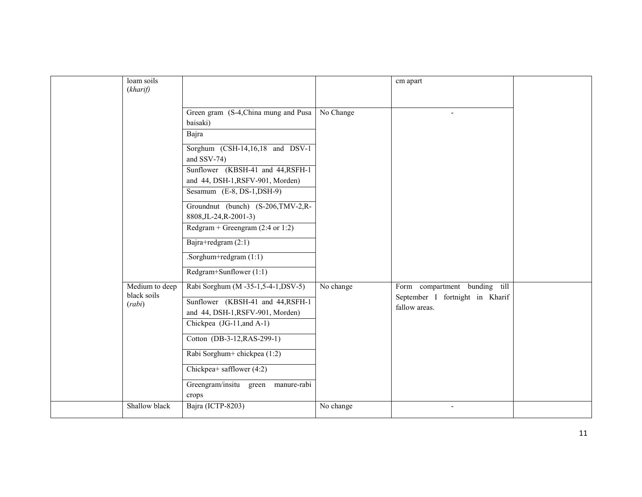| loam soils                    |                                             |           |                                 |  |
|-------------------------------|---------------------------------------------|-----------|---------------------------------|--|
| (kharif)                      |                                             |           | cm apart                        |  |
|                               |                                             |           |                                 |  |
|                               |                                             |           |                                 |  |
|                               | Green gram (S-4, China mung and Pusa        | No Change | $\blacksquare$                  |  |
|                               | baisaki)                                    |           |                                 |  |
|                               | Bajra                                       |           |                                 |  |
|                               | Sorghum $(CSH-14,16,18$ and DSV-1           |           |                                 |  |
|                               | and SSV-74)                                 |           |                                 |  |
|                               | Sunflower (KBSH-41 and 44, RSFH-1)          |           |                                 |  |
|                               | and 44, DSH-1, RSFV-901, Morden)            |           |                                 |  |
|                               | Sesamum $(E-8, DS-1, DSH-9)$                |           |                                 |  |
|                               | Groundnut (bunch) (S-206, TMV-2, R-         |           |                                 |  |
|                               | 8808, JL-24, R-2001-3)                      |           |                                 |  |
|                               | Redgram + Greengram $(2:4 \text{ or } 1:2)$ |           |                                 |  |
|                               | Bajra+redgram $(2:1)$                       |           |                                 |  |
|                               | .Sorghum+redgram $(1:1)$                    |           |                                 |  |
|                               | Redgram+Sunflower (1:1)                     |           |                                 |  |
| Medium to deep<br>black soils | Rabi Sorghum (M-35-1,5-4-1, DSV-5)          | No change | Form compartment bunding till   |  |
| (rabi)                        | Sunflower (KBSH-41 and 44, RSFH-1)          |           | September I fortnight in Kharif |  |
|                               | and 44, DSH-1, RSFV-901, Morden)            |           | fallow areas.                   |  |
|                               | Chickpea (JG-11, and A-1)                   |           |                                 |  |
|                               | Cotton (DB-3-12, RAS-299-1)                 |           |                                 |  |
|                               |                                             |           |                                 |  |
|                               | Rabi Sorghum+ chickpea (1:2)                |           |                                 |  |
|                               | Chickpea+ safflower (4:2)                   |           |                                 |  |
|                               | Greengram/insitu green manure-rabi          |           |                                 |  |
|                               | crops                                       |           |                                 |  |
| Shallow black                 | Bajra (ICTP-8203)                           | No change | $\overline{\phantom{a}}$        |  |
|                               |                                             |           |                                 |  |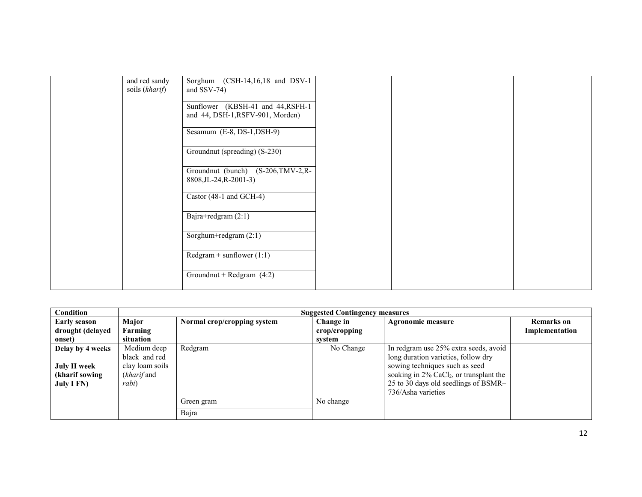| and red sandy<br>soils (kharif) | Sorghum (CSH-14,16,18 and DSV-1<br>and $SSV-74$ )                      |  |  |
|---------------------------------|------------------------------------------------------------------------|--|--|
|                                 | Sunflower (KBSH-41 and 44, RSFH-1)<br>and 44, DSH-1, RSFV-901, Morden) |  |  |
|                                 | Sesamum $(E-8, DS-1, DSH-9)$                                           |  |  |
|                                 | Groundnut (spreading) (S-230)                                          |  |  |
|                                 | Groundnut (bunch) (S-206, TMV-2, R-<br>8808, JL-24, R-2001-3)          |  |  |
|                                 | Castor (48-1 and GCH-4)                                                |  |  |
|                                 | Bajra+redgram (2:1)                                                    |  |  |
|                                 | Sorghum+redgram (2:1)                                                  |  |  |
|                                 | $Redgram + sunflower (1:1)$                                            |  |  |
|                                 | Groundnut + Redgram $(4:2)$                                            |  |  |

| Condition                                                                      |                                                                                 | <b>Suggested Contingency measures</b> |                                      |                                                                                                                                                                                                                                        |                                     |  |
|--------------------------------------------------------------------------------|---------------------------------------------------------------------------------|---------------------------------------|--------------------------------------|----------------------------------------------------------------------------------------------------------------------------------------------------------------------------------------------------------------------------------------|-------------------------------------|--|
| <b>Early season</b><br>drought (delayed<br>onset)                              | Major<br>Farming<br>situation                                                   | Normal crop/cropping system           | Change in<br>crop/cropping<br>svstem | Agronomic measure                                                                                                                                                                                                                      | <b>Remarks</b> on<br>Implementation |  |
| Delay by 4 weeks<br><b>July II week</b><br>(kharif sowing<br><b>July I FN)</b> | Medium deep<br>black and red<br>clay loam soils<br>( <i>kharif</i> and<br>rabi) | Redgram                               | No Change                            | In redgram use 25% extra seeds, avoid<br>long duration varieties, follow dry<br>sowing techniques such as seed<br>soaking in $2\%$ CaCl <sub>2</sub> , or transplant the<br>25 to 30 days old seedlings of BSMR-<br>736/Asha varieties |                                     |  |
|                                                                                |                                                                                 | Green gram                            | No change                            |                                                                                                                                                                                                                                        |                                     |  |
|                                                                                |                                                                                 | Bajra                                 |                                      |                                                                                                                                                                                                                                        |                                     |  |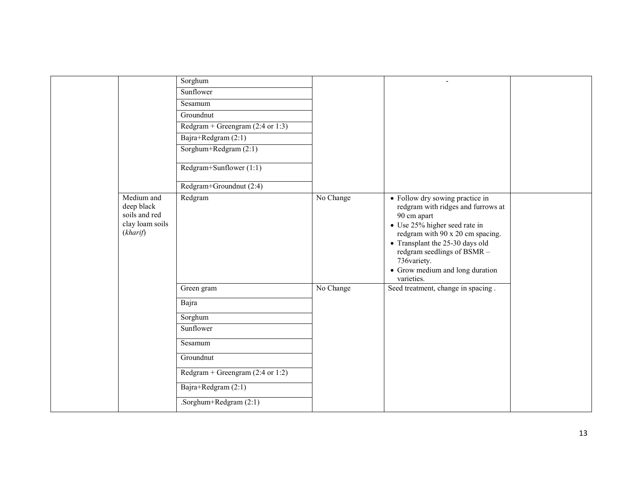|                                                                          | Sorghum                                     |           | $\overline{\phantom{a}}$                                                                                                                                                                                                                                                                    |  |
|--------------------------------------------------------------------------|---------------------------------------------|-----------|---------------------------------------------------------------------------------------------------------------------------------------------------------------------------------------------------------------------------------------------------------------------------------------------|--|
|                                                                          | Sunflower                                   |           |                                                                                                                                                                                                                                                                                             |  |
|                                                                          | Sesamum                                     |           |                                                                                                                                                                                                                                                                                             |  |
|                                                                          | Groundnut                                   |           |                                                                                                                                                                                                                                                                                             |  |
|                                                                          | Redgram + Greengram $(2:4 \text{ or } 1:3)$ |           |                                                                                                                                                                                                                                                                                             |  |
|                                                                          | Bajra+Redgram (2:1)                         |           |                                                                                                                                                                                                                                                                                             |  |
|                                                                          | Sorghum+Redgram (2:1)                       |           |                                                                                                                                                                                                                                                                                             |  |
|                                                                          | Redgram+Sunflower (1:1)                     |           |                                                                                                                                                                                                                                                                                             |  |
|                                                                          | Redgram+Groundnut (2:4)                     |           |                                                                                                                                                                                                                                                                                             |  |
| Medium and<br>deep black<br>soils and red<br>clay loam soils<br>(kharif) | Redgram                                     | No Change | • Follow dry sowing practice in<br>redgram with ridges and furrows at<br>90 cm apart<br>• Use 25% higher seed rate in<br>redgram with 90 x 20 cm spacing.<br>• Transplant the 25-30 days old<br>redgram seedlings of BSMR -<br>736variety.<br>• Grow medium and long duration<br>varieties. |  |
|                                                                          | Green gram                                  | No Change | Seed treatment, change in spacing.                                                                                                                                                                                                                                                          |  |
|                                                                          | Bajra                                       |           |                                                                                                                                                                                                                                                                                             |  |
|                                                                          | Sorghum                                     |           |                                                                                                                                                                                                                                                                                             |  |
|                                                                          | Sunflower                                   |           |                                                                                                                                                                                                                                                                                             |  |
|                                                                          | Sesamum                                     |           |                                                                                                                                                                                                                                                                                             |  |
|                                                                          | Groundnut                                   |           |                                                                                                                                                                                                                                                                                             |  |
|                                                                          | Redgram + Greengram $(2:4 \text{ or } 1:2)$ |           |                                                                                                                                                                                                                                                                                             |  |
|                                                                          | Bajra+Redgram (2:1)                         |           |                                                                                                                                                                                                                                                                                             |  |
|                                                                          | .Sorghum+Redgram (2:1)                      |           |                                                                                                                                                                                                                                                                                             |  |
|                                                                          |                                             |           |                                                                                                                                                                                                                                                                                             |  |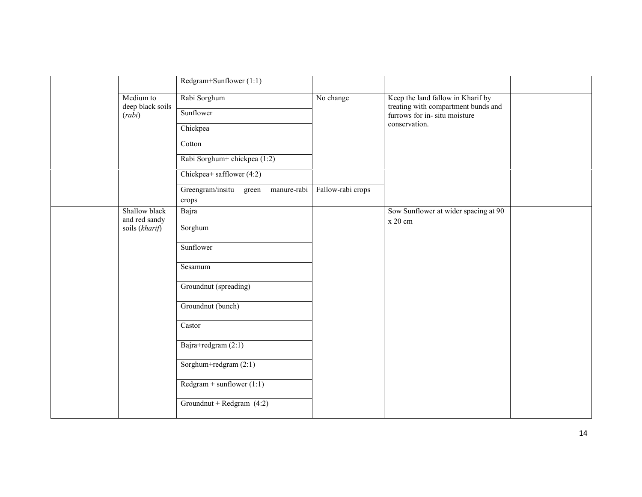|                                | Redgram+Sunflower (1:1)                        |                   |                                                                          |  |
|--------------------------------|------------------------------------------------|-------------------|--------------------------------------------------------------------------|--|
| Medium to<br>deep black soils  | Rabi Sorghum                                   | No change         | Keep the land fallow in Kharif by<br>treating with compartment bunds and |  |
| (rabi)                         | Sunflower                                      |                   | furrows for in- situ moisture                                            |  |
|                                | Chickpea                                       |                   | conservation.                                                            |  |
|                                | Cotton                                         |                   |                                                                          |  |
|                                | Rabi Sorghum+ chickpea (1:2)                   |                   |                                                                          |  |
|                                | Chickpea+ safflower (4:2)                      |                   |                                                                          |  |
|                                | Greengram/insitu green<br>manure-rabi<br>crops | Fallow-rabi crops |                                                                          |  |
| Shallow black<br>and red sandy | Bajra                                          |                   | Sow Sunflower at wider spacing at 90<br>x 20 cm                          |  |
| soils (kharif)                 | Sorghum                                        |                   |                                                                          |  |
|                                | Sunflower                                      |                   |                                                                          |  |
|                                | Sesamum                                        |                   |                                                                          |  |
|                                | Groundnut (spreading)                          |                   |                                                                          |  |
|                                | Groundnut (bunch)                              |                   |                                                                          |  |
|                                | Castor                                         |                   |                                                                          |  |
|                                | Bajra+redgram $(2:1)$                          |                   |                                                                          |  |
|                                | Sorghum+redgram (2:1)                          |                   |                                                                          |  |
|                                | $Redgram + sunflower (1:1)$                    |                   |                                                                          |  |
|                                | Groundnut + Redgram $(4:2)$                    |                   |                                                                          |  |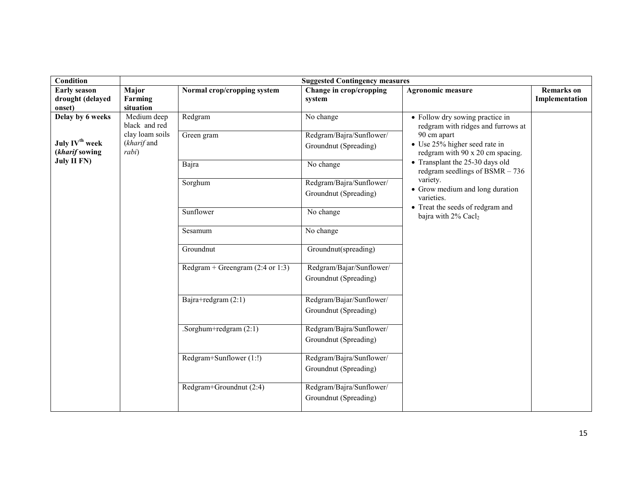| Condition                                                          |                                         |                                             | <b>Suggested Contingency measures</b>             |                                                                                                                     |                                     |  |
|--------------------------------------------------------------------|-----------------------------------------|---------------------------------------------|---------------------------------------------------|---------------------------------------------------------------------------------------------------------------------|-------------------------------------|--|
| <b>Early season</b><br>drought (delayed<br>onset)                  | Major<br>Farming<br>situation           | Normal crop/cropping system                 | Change in crop/cropping<br>system                 | <b>Agronomic measure</b>                                                                                            | <b>Remarks</b> on<br>Implementation |  |
| Delay by 6 weeks                                                   | Medium deep<br>black and red            | Redgram                                     | No change                                         | • Follow dry sowing practice in<br>redgram with ridges and furrows at                                               |                                     |  |
| July IV <sup>th</sup> week<br>(kharif sowing<br><b>July II FN)</b> | clay loam soils<br>(kharif and<br>rabi) | Green gram                                  | Redgram/Bajra/Sunflower/<br>Groundnut (Spreading) | 90 cm apart<br>• Use 25% higher seed rate in<br>redgram with 90 x 20 cm spacing.<br>• Transplant the 25-30 days old |                                     |  |
|                                                                    |                                         | Bajra                                       | No change                                         | redgram seedlings of BSMR $-736$<br>variety.                                                                        |                                     |  |
|                                                                    |                                         | Sorghum                                     | Redgram/Bajra/Sunflower/<br>Groundnut (Spreading) | • Grow medium and long duration<br>varieties.                                                                       |                                     |  |
|                                                                    |                                         | Sunflower                                   | No change                                         | • Treat the seeds of redgram and<br>bajra with 2% Cacl <sub>2</sub>                                                 |                                     |  |
|                                                                    |                                         | Sesamum                                     | $\overline{No}$ change                            |                                                                                                                     |                                     |  |
|                                                                    |                                         | Groundnut                                   | Groundnut(spreading)                              |                                                                                                                     |                                     |  |
|                                                                    |                                         | Redgram + Greengram $(2:4 \text{ or } 1:3)$ | Redgram/Bajar/Sunflower/<br>Groundnut (Spreading) |                                                                                                                     |                                     |  |
|                                                                    |                                         | Bajra+redgram (2:1)                         | Redgram/Bajar/Sunflower/<br>Groundnut (Spreading) |                                                                                                                     |                                     |  |
|                                                                    |                                         | .Sorghum+redgram $(2:1)$                    | Redgram/Bajra/Sunflower/<br>Groundnut (Spreading) |                                                                                                                     |                                     |  |
|                                                                    |                                         | Redgram+Sunflower (1:!)                     | Redgram/Bajra/Sunflower/<br>Groundnut (Spreading) |                                                                                                                     |                                     |  |
|                                                                    |                                         | Redgram+Groundnut (2:4)                     | Redgram/Bajra/Sunflower/<br>Groundnut (Spreading) |                                                                                                                     |                                     |  |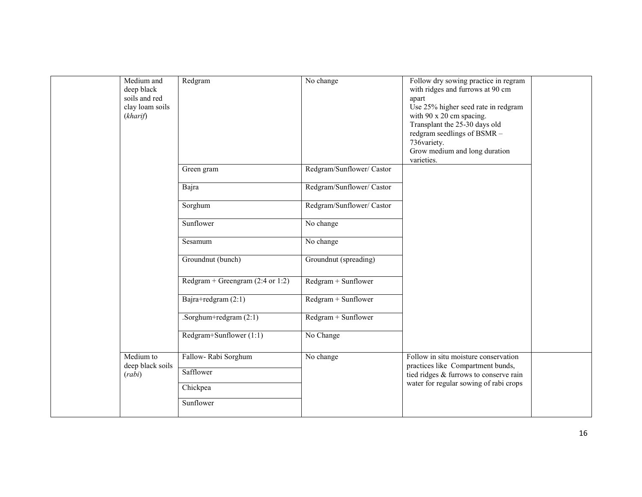| Medium and<br>deep black<br>soils and red<br>clay loam soils<br>(kharif) | Redgram                                                   | No change                 | Follow dry sowing practice in regram<br>with ridges and furrows at 90 cm<br>apart<br>Use 25% higher seed rate in redgram<br>with 90 x 20 cm spacing.<br>Transplant the 25-30 days old<br>redgram seedlings of BSMR -<br>736variety.<br>Grow medium and long duration<br>varieties. |  |
|--------------------------------------------------------------------------|-----------------------------------------------------------|---------------------------|------------------------------------------------------------------------------------------------------------------------------------------------------------------------------------------------------------------------------------------------------------------------------------|--|
|                                                                          | Green gram                                                | Redgram/Sunflower/ Castor |                                                                                                                                                                                                                                                                                    |  |
|                                                                          | Bajra                                                     | Redgram/Sunflower/ Castor |                                                                                                                                                                                                                                                                                    |  |
|                                                                          | Sorghum                                                   | Redgram/Sunflower/ Castor |                                                                                                                                                                                                                                                                                    |  |
|                                                                          | Sunflower                                                 | No change                 |                                                                                                                                                                                                                                                                                    |  |
|                                                                          | Sesamum                                                   | $\overline{No}$ change    |                                                                                                                                                                                                                                                                                    |  |
|                                                                          | Groundnut (bunch)                                         | Groundnut (spreading)     |                                                                                                                                                                                                                                                                                    |  |
|                                                                          | Redgram + Greengram $(2:4 \text{ or } 1:2)$               | Redgram + Sunflower       |                                                                                                                                                                                                                                                                                    |  |
|                                                                          | Bajra+redgram (2:1)                                       | Redgram + Sunflower       |                                                                                                                                                                                                                                                                                    |  |
|                                                                          | .Sorghum+redgram $(2:1)$                                  | Redgram + Sunflower       |                                                                                                                                                                                                                                                                                    |  |
|                                                                          | Redgram+Sunflower (1:1)                                   | No Change                 |                                                                                                                                                                                                                                                                                    |  |
| Medium to<br>deep black soils<br>(rabi)                                  | Fallow-Rabi Sorghum<br>Safflower<br>Chickpea<br>Sunflower | No change                 | Follow in situ moisture conservation<br>practices like Compartment bunds,<br>tied ridges & furrows to conserve rain<br>water for regular sowing of rabi crops                                                                                                                      |  |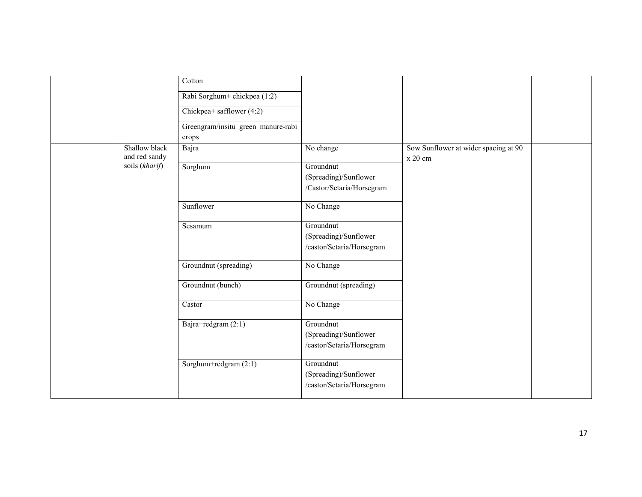|                                | $\overline{\mathrm{Cotton}}$<br>Rabi Sorghum+ chickpea (1:2) |                                                                 |                                                 |  |
|--------------------------------|--------------------------------------------------------------|-----------------------------------------------------------------|-------------------------------------------------|--|
|                                | Chickpea+ safflower (4:2)                                    |                                                                 |                                                 |  |
|                                | Greengram/insitu green manure-rabi<br>crops                  |                                                                 |                                                 |  |
| Shallow black<br>and red sandy | Bajra                                                        | No change                                                       | Sow Sunflower at wider spacing at 90<br>x 20 cm |  |
| soils (kharif)                 | Sorghum                                                      | Groundnut<br>(Spreading)/Sunflower<br>/Castor/Setaria/Horsegram |                                                 |  |
|                                | Sunflower                                                    | No Change                                                       |                                                 |  |
|                                | Sesamum                                                      | Groundnut<br>(Spreading)/Sunflower<br>/castor/Setaria/Horsegram |                                                 |  |
|                                | Groundnut (spreading)                                        | No Change                                                       |                                                 |  |
|                                | Groundnut (bunch)                                            | Groundnut (spreading)                                           |                                                 |  |
|                                | Castor                                                       | No Change                                                       |                                                 |  |
|                                | Bajra+redgram (2:1)                                          | Groundnut<br>(Spreading)/Sunflower<br>/castor/Setaria/Horsegram |                                                 |  |
|                                | Sorghum+redgram $(2:1)$                                      | Groundnut<br>(Spreading)/Sunflower<br>/castor/Setaria/Horsegram |                                                 |  |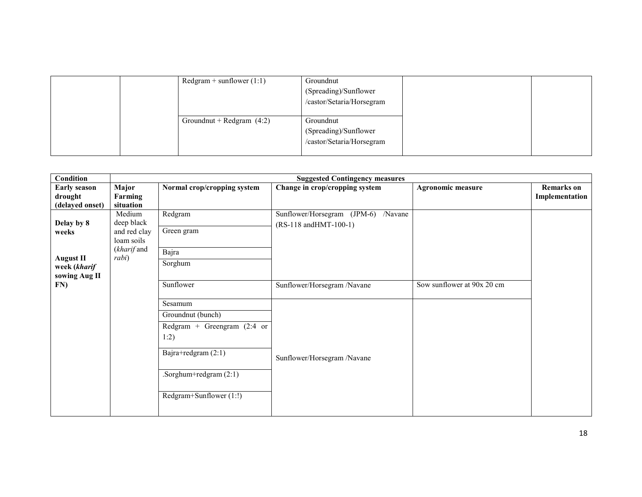|  | $Redgram + sunflower (1:1)$ | Groundnut<br>(Spreading)/Sunflower<br>/castor/Setaria/Horsegram |  |
|--|-----------------------------|-----------------------------------------------------------------|--|
|  | Groundnut + Redgram $(4:2)$ | Groundnut<br>(Spreading)/Sunflower<br>/castor/Setaria/Horsegram |  |

| Condition                                         | <b>Suggested Contingency measures</b>                                      |                                                                                                                                                     |                                                              |                            |                                     |  |  |
|---------------------------------------------------|----------------------------------------------------------------------------|-----------------------------------------------------------------------------------------------------------------------------------------------------|--------------------------------------------------------------|----------------------------|-------------------------------------|--|--|
| <b>Early season</b><br>drought<br>(delayed onset) | Major<br>Farming<br>situation                                              | Normal crop/cropping system                                                                                                                         | Change in crop/cropping system                               | <b>Agronomic measure</b>   | <b>Remarks</b> on<br>Implementation |  |  |
| Delay by 8<br>weeks                               | Medium<br>deep black<br>and red clay<br>loam soils<br>(kharif and<br>rabi) | Redgram<br>Green gram                                                                                                                               | Sunflower/Horsegram (JPM-6) /Navane<br>(RS-118 andHMT-100-1) |                            |                                     |  |  |
| <b>August II</b><br>week (kharif<br>sowing Aug II |                                                                            | Bajra<br>Sorghum                                                                                                                                    |                                                              |                            |                                     |  |  |
| FN)                                               |                                                                            | Sunflower                                                                                                                                           | Sunflower/Horsegram /Navane                                  | Sow sunflower at 90x 20 cm |                                     |  |  |
|                                                   |                                                                            | Sesamum<br>Groundnut (bunch)<br>Redgram + Greengram $(2:4$ or<br>1:2)<br>Bajra+redgram (2:1)<br>.Sorghum+redgram $(2:1)$<br>Redgram+Sunflower (1:!) | Sunflower/Horsegram /Navane                                  |                            |                                     |  |  |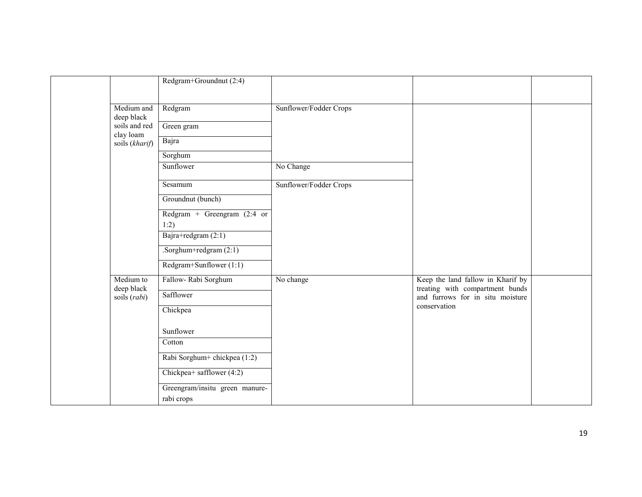|                            | Redgram+Groundnut (2:4)        |                        |                                                                     |  |
|----------------------------|--------------------------------|------------------------|---------------------------------------------------------------------|--|
| Medium and<br>deep black   | Redgram                        | Sunflower/Fodder Crops |                                                                     |  |
| soils and red<br>clay loam | Green gram                     |                        |                                                                     |  |
| soils (kharif)             | Bajra                          |                        |                                                                     |  |
|                            | Sorghum                        |                        |                                                                     |  |
|                            | Sunflower                      | No Change              |                                                                     |  |
|                            | Sesamum                        | Sunflower/Fodder Crops |                                                                     |  |
|                            | Groundnut (bunch)              |                        |                                                                     |  |
|                            | Redgram + Greengram $(2:4$ or  |                        |                                                                     |  |
|                            | 1:2)                           |                        |                                                                     |  |
|                            | Bajra+redgram (2:1)            |                        |                                                                     |  |
|                            | .Sorghum+redgram $(2:1)$       |                        |                                                                     |  |
|                            | Redgram+Sunflower (1:1)        |                        |                                                                     |  |
| Medium to                  | Fallow-Rabi Sorghum            | No change              | Keep the land fallow in Kharif by                                   |  |
| deep black<br>soils (rabi) | Safflower                      |                        | treating with compartment bunds<br>and furrows for in situ moisture |  |
|                            | Chickpea                       |                        | conservation                                                        |  |
|                            | Sunflower                      |                        |                                                                     |  |
|                            | Cotton                         |                        |                                                                     |  |
|                            | Rabi Sorghum+ chickpea (1:2)   |                        |                                                                     |  |
|                            | Chickpea+ safflower $(4:2)$    |                        |                                                                     |  |
|                            | Greengram/insitu green manure- |                        |                                                                     |  |
|                            | rabi crops                     |                        |                                                                     |  |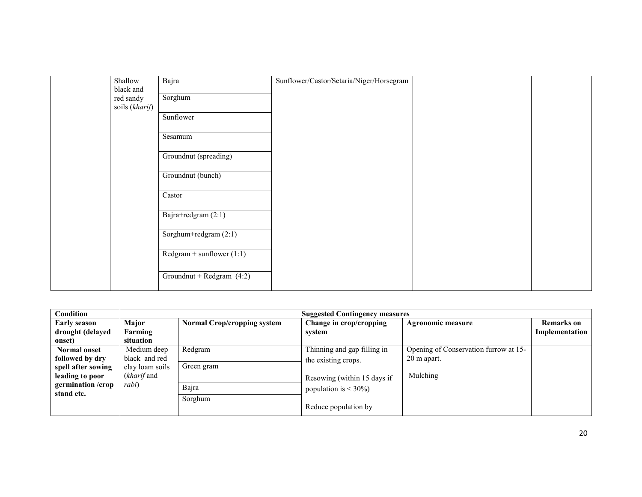| Shallow                     | Bajra                       | Sunflower/Castor/Setaria/Niger/Horsegram |  |
|-----------------------------|-----------------------------|------------------------------------------|--|
| black and                   |                             |                                          |  |
| red sandy<br>soils (kharif) | Sorghum                     |                                          |  |
|                             | Sunflower                   |                                          |  |
|                             |                             |                                          |  |
|                             | Sesamum                     |                                          |  |
|                             |                             |                                          |  |
|                             | Groundnut (spreading)       |                                          |  |
|                             | Groundnut (bunch)           |                                          |  |
|                             |                             |                                          |  |
|                             | Castor                      |                                          |  |
|                             | Bajra+redgram (2:1)         |                                          |  |
|                             |                             |                                          |  |
|                             | Sorghum+redgram (2:1)       |                                          |  |
|                             | Redgram + sunflower $(1:1)$ |                                          |  |
|                             |                             |                                          |  |
|                             | Groundnut + Redgram $(4:2)$ |                                          |  |
|                             |                             |                                          |  |

| Condition           |                 | <b>Suggested Contingency measures</b> |                             |                                       |                   |  |
|---------------------|-----------------|---------------------------------------|-----------------------------|---------------------------------------|-------------------|--|
| <b>Early season</b> | Major           | <b>Normal Crop/cropping system</b>    | Change in crop/cropping     | <b>Agronomic measure</b>              | <b>Remarks</b> on |  |
| drought (delayed    | Farming         |                                       | svstem                      |                                       | Implementation    |  |
| onset)              | situation       |                                       |                             |                                       |                   |  |
| <b>Normal onset</b> | Medium deep     | Redgram                               | Thinning and gap filling in | Opening of Conservation furrow at 15- |                   |  |
| followed by dry     | black and red   |                                       | the existing crops.         | 20 m apart.                           |                   |  |
| spell after sowing  | clay loam soils | Green gram                            |                             |                                       |                   |  |
| leading to poor     | (kharif and     |                                       | Resowing (within 15 days if | Mulching                              |                   |  |
| germination/crop    | rabi)           | Bajra                                 | population is $<$ 30%)      |                                       |                   |  |
| stand etc.          |                 | Sorghum                               |                             |                                       |                   |  |
|                     |                 |                                       | Reduce population by        |                                       |                   |  |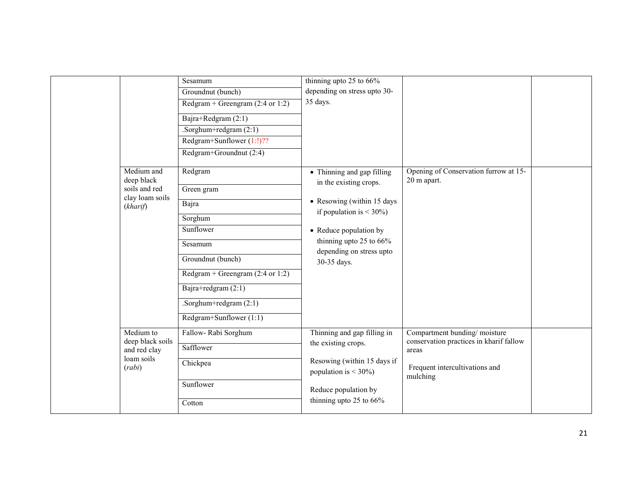|        |                                  | Sesamum                                     | thinning upto 25 to 66%                                                                                                                     |                                                                         |  |
|--------|----------------------------------|---------------------------------------------|---------------------------------------------------------------------------------------------------------------------------------------------|-------------------------------------------------------------------------|--|
|        |                                  | Groundnut (bunch)                           | depending on stress upto 30-                                                                                                                |                                                                         |  |
|        |                                  | Redgram + Greengram $(2:4 \text{ or } 1:2)$ | 35 days.                                                                                                                                    |                                                                         |  |
|        |                                  | Bajra+Redgram $\overline{(2:1)}$            |                                                                                                                                             |                                                                         |  |
|        |                                  | .Sorghum+redgram $(2:1)$                    |                                                                                                                                             |                                                                         |  |
|        |                                  | Redgram+Sunflower (1:!)??                   |                                                                                                                                             |                                                                         |  |
|        |                                  | Redgram+Groundnut (2:4)                     |                                                                                                                                             |                                                                         |  |
|        | Medium and<br>deep black         | Redgram                                     | • Thinning and gap filling                                                                                                                  | Opening of Conservation furrow at 15-<br>20 m apart.                    |  |
|        | soils and red<br>clay loam soils | $\overline{G}$ reen gram                    | in the existing crops.                                                                                                                      |                                                                         |  |
|        | (kharif)                         | Bajra                                       | • Resowing (within 15 days<br>if population is $<$ 30%)<br>• Reduce population by<br>thinning upto 25 to $66\%$<br>depending on stress upto |                                                                         |  |
|        |                                  | Sorghum                                     |                                                                                                                                             |                                                                         |  |
|        |                                  | Sunflower                                   |                                                                                                                                             |                                                                         |  |
|        |                                  | Sesamum                                     |                                                                                                                                             |                                                                         |  |
|        |                                  | Groundnut (bunch)                           | 30-35 days.                                                                                                                                 |                                                                         |  |
|        |                                  | Redgram + Greengram $(2:4 \text{ or } 1:2)$ |                                                                                                                                             |                                                                         |  |
|        |                                  | Bajra+redgram $(2:1)$                       |                                                                                                                                             |                                                                         |  |
|        |                                  | .Sorghum+redgram $(2:1)$                    |                                                                                                                                             |                                                                         |  |
|        |                                  | Redgram+Sunflower (1:1)                     |                                                                                                                                             |                                                                         |  |
|        | Medium to<br>deep black soils    | Fallow-Rabi Sorghum                         | Thinning and gap filling in                                                                                                                 | Compartment bunding/moisture<br>conservation practices in kharif fallow |  |
| (rabi) | and red clay                     | Safflower                                   | the existing crops.                                                                                                                         | areas                                                                   |  |
|        | loam soils                       | Chickpea                                    | Resowing (within 15 days if<br>population is $<$ 30%)                                                                                       | Frequent intercultivations and<br>mulching                              |  |
|        |                                  | Sunflower                                   | Reduce population by                                                                                                                        |                                                                         |  |
|        |                                  | Cotton                                      | thinning upto 25 to 66%                                                                                                                     |                                                                         |  |
|        |                                  |                                             |                                                                                                                                             |                                                                         |  |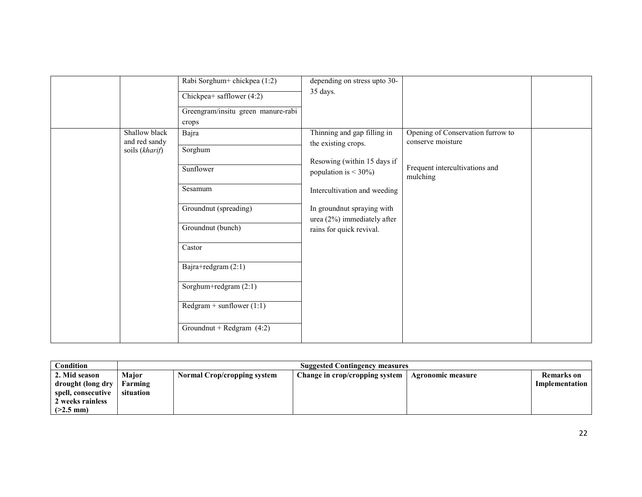|                                                  | Rabi Sorghum+ chickpea (1:2)<br>Chickpea+ safflower (4:2)<br>Greengram/insitu green manure-rabi<br>crops                                                                                                       | depending on stress upto 30-<br>35 days.                                                                                                                                                                                                |                                                                                                      |  |
|--------------------------------------------------|----------------------------------------------------------------------------------------------------------------------------------------------------------------------------------------------------------------|-----------------------------------------------------------------------------------------------------------------------------------------------------------------------------------------------------------------------------------------|------------------------------------------------------------------------------------------------------|--|
| Shallow black<br>and red sandy<br>soils (kharif) | Bajra<br>Sorghum<br>Sunflower<br>Sesamum<br>Groundnut (spreading)<br>Groundnut (bunch)<br>Castor<br>Bajra+redgram (2:1)<br>Sorghum+redgram (2:1)<br>$Redgram + sunflower (1:1)$<br>Groundnut + Redgram $(4:2)$ | Thinning and gap filling in<br>the existing crops.<br>Resowing (within 15 days if<br>population is $<$ 30%)<br>Intercultivation and weeding<br>In groundnut spraying with<br>urea $(2\%)$ immediately after<br>rains for quick revival. | Opening of Conservation furrow to<br>conserve moisture<br>Frequent intercultivations and<br>mulching |  |

| Condition                   |           | <b>Suggested Contingency measures</b> |                                |                   |                   |  |  |
|-----------------------------|-----------|---------------------------------------|--------------------------------|-------------------|-------------------|--|--|
| 2. Mid season               | Major     | <b>Normal Crop/cropping system</b>    | Change in crop/cropping system | Agronomic measure | <b>Remarks</b> on |  |  |
| drought (long dry   Farming |           |                                       |                                |                   | Implementation    |  |  |
| spell, consecutive          | situation |                                       |                                |                   |                   |  |  |
| 2 weeks rainless            |           |                                       |                                |                   |                   |  |  |
| $(>2.5$ mm)                 |           |                                       |                                |                   |                   |  |  |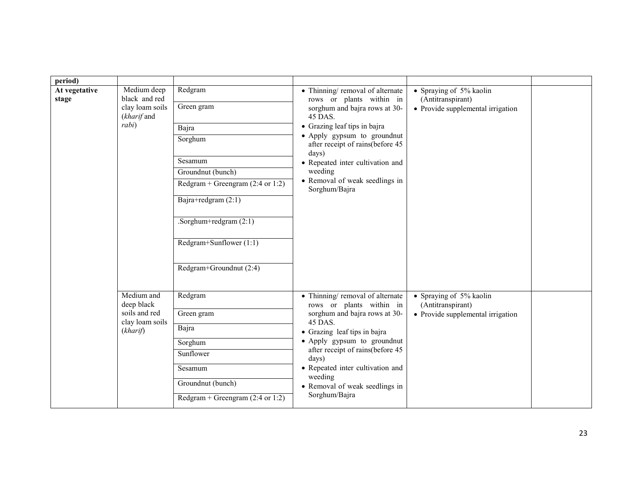| period)                |                                                                          |                                                                                                                                                                                                                                   |                                                                                                                                                                                                                                                                                                                       |                                                                                   |  |
|------------------------|--------------------------------------------------------------------------|-----------------------------------------------------------------------------------------------------------------------------------------------------------------------------------------------------------------------------------|-----------------------------------------------------------------------------------------------------------------------------------------------------------------------------------------------------------------------------------------------------------------------------------------------------------------------|-----------------------------------------------------------------------------------|--|
| At vegetative<br>stage | Medium deep<br>black and red<br>clay loam soils<br>(kharif and<br>rabi)  | Redgram<br>Green gram<br>Bajra<br>Sorghum<br>Sesamum<br>Groundnut (bunch)<br>Redgram + Greengram $(2:4 \text{ or } 1:2)$<br>Bajra+redgram (2:1)<br>.Sorghum+redgram $(2:1)$<br>Redgram+Sunflower (1:1)<br>Redgram+Groundnut (2:4) | • Thinning/removal of alternate<br>rows or plants within in<br>sorghum and bajra rows at 30-<br>45 DAS.<br>• Grazing leaf tips in bajra<br>• Apply gypsum to groundnut<br>after receipt of rains(before 45<br>days)<br>• Repeated inter cultivation and<br>weeding<br>• Removal of weak seedlings in<br>Sorghum/Bajra | • Spraying of 5% kaolin<br>(Antitranspirant)<br>• Provide supplemental irrigation |  |
|                        | Medium and<br>deep black<br>soils and red<br>clay loam soils<br>(kharif) | Redgram<br>Green gram<br>Bajra<br>Sorghum<br>Sunflower<br>Sesamum<br>Groundnut (bunch)<br>Redgram + Greengram $(2:4 \text{ or } 1:2)$                                                                                             | • Thinning/removal of alternate<br>rows or plants within in<br>sorghum and bajra rows at 30-<br>45 DAS.<br>• Grazing leaf tips in bajra<br>• Apply gypsum to groundnut<br>after receipt of rains(before 45<br>days)<br>• Repeated inter cultivation and<br>weeding<br>• Removal of weak seedlings in<br>Sorghum/Bajra | • Spraying of 5% kaolin<br>(Antitranspirant)<br>• Provide supplemental irrigation |  |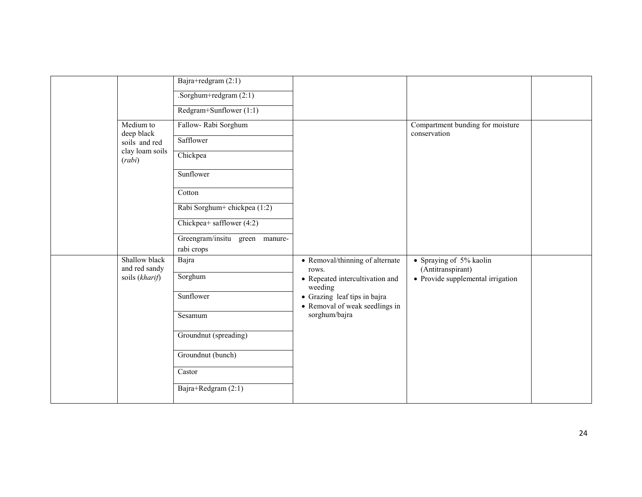|                                | Bajra+redgram $(2:1)$          |                                                                |                                                  |  |
|--------------------------------|--------------------------------|----------------------------------------------------------------|--------------------------------------------------|--|
|                                | .Sorghum+redgram $(2:1)$       |                                                                |                                                  |  |
|                                | Redgram+Sunflower $(1:1)$      |                                                                |                                                  |  |
| Medium to<br>deep black        | Fallow-Rabi Sorghum            |                                                                | Compartment bunding for moisture<br>conservation |  |
| soils and red                  | Safflower                      |                                                                |                                                  |  |
| clay loam soils<br>(rabi)      | Chickpea                       |                                                                |                                                  |  |
|                                | Sunflower                      |                                                                |                                                  |  |
|                                | Cotton                         |                                                                |                                                  |  |
|                                | Rabi Sorghum+ chickpea (1:2)   |                                                                |                                                  |  |
|                                | Chickpea+ safflower (4:2)      |                                                                |                                                  |  |
|                                | Greengram/insitu green manure- |                                                                |                                                  |  |
|                                | rabi crops                     |                                                                |                                                  |  |
| Shallow black<br>and red sandy | Bajra                          | • Removal/thinning of alternate<br>rows.                       | • Spraying of 5% kaolin<br>(Antitranspirant)     |  |
| soils (kharif)                 | Sorghum                        | • Repeated intercultivation and<br>weeding                     | • Provide supplemental irrigation                |  |
|                                | Sunflower                      | • Grazing leaf tips in bajra<br>• Removal of weak seedlings in |                                                  |  |
|                                | Sesamum                        | sorghum/bajra                                                  |                                                  |  |
|                                | Groundnut (spreading)          |                                                                |                                                  |  |
|                                | Groundnut (bunch)              |                                                                |                                                  |  |
|                                | Castor                         |                                                                |                                                  |  |
|                                | Bajra+Redgram (2:1)            |                                                                |                                                  |  |
|                                |                                |                                                                |                                                  |  |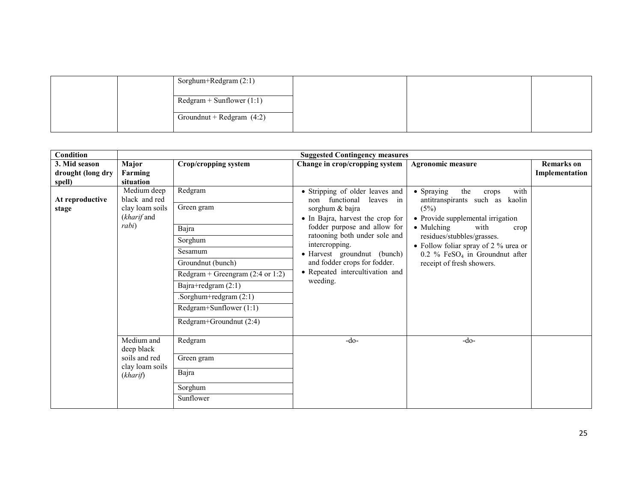|  | Sorghum+Redgram (2:1)       |  |  |
|--|-----------------------------|--|--|
|  | $Redgram + Sunflower (1:1)$ |  |  |
|  | Groundnut + Redgram $(4:2)$ |  |  |
|  |                             |  |  |

| Condition                                    |                                                                          |                                                                                                                                                                                                                                 | <b>Suggested Contingency measures</b>                                                                                                                                                                                                                                                                                  |                                                                                                                                                                                                                                                                                                         |                                     |
|----------------------------------------------|--------------------------------------------------------------------------|---------------------------------------------------------------------------------------------------------------------------------------------------------------------------------------------------------------------------------|------------------------------------------------------------------------------------------------------------------------------------------------------------------------------------------------------------------------------------------------------------------------------------------------------------------------|---------------------------------------------------------------------------------------------------------------------------------------------------------------------------------------------------------------------------------------------------------------------------------------------------------|-------------------------------------|
| 3. Mid season<br>drought (long dry<br>spell) | Major<br>Farming<br>situation                                            | Crop/cropping system                                                                                                                                                                                                            | Change in crop/cropping system                                                                                                                                                                                                                                                                                         | <b>Agronomic measure</b>                                                                                                                                                                                                                                                                                | <b>Remarks</b> on<br>Implementation |
| At reproductive<br>stage                     | Medium deep<br>black and red<br>clay loam soils<br>(kharif and<br>rabi)  | Redgram<br>Green gram<br>Bajra<br>Sorghum<br>Sesamum<br>Groundnut (bunch)<br>Redgram + Greengram $(2:4 \text{ or } 1:2)$<br>Bajra+redgram (2:1)<br>.Sorghum+redgram (2:1)<br>Redgram+Sunflower (1:1)<br>Redgram+Groundnut (2:4) | • Stripping of older leaves and<br>non functional<br>leaves in<br>sorghum & bajra<br>• In Bajra, harvest the crop for<br>fodder purpose and allow for<br>ratooning both under sole and<br>intercropping.<br>• Harvest groundnut (bunch)<br>and fodder crops for fodder.<br>• Repeated intercultivation and<br>weeding. | • Spraying<br>the<br>with<br>crops<br>antitranspirants such as kaolin<br>(5%)<br>• Provide supplemental irrigation<br>• Mulching<br>with<br>crop<br>residues/stubbles/grasses.<br>• Follow foliar spray of 2 $\%$ urea or<br>$0.2 \%$ FeSO <sub>4</sub> in Groundnut after<br>receipt of fresh showers. |                                     |
|                                              | Medium and<br>deep black<br>soils and red<br>clay loam soils<br>(kharif) | Redgram<br>Green gram<br>Bajra<br>Sorghum<br>Sunflower                                                                                                                                                                          | $-do-$                                                                                                                                                                                                                                                                                                                 | $-do-$                                                                                                                                                                                                                                                                                                  |                                     |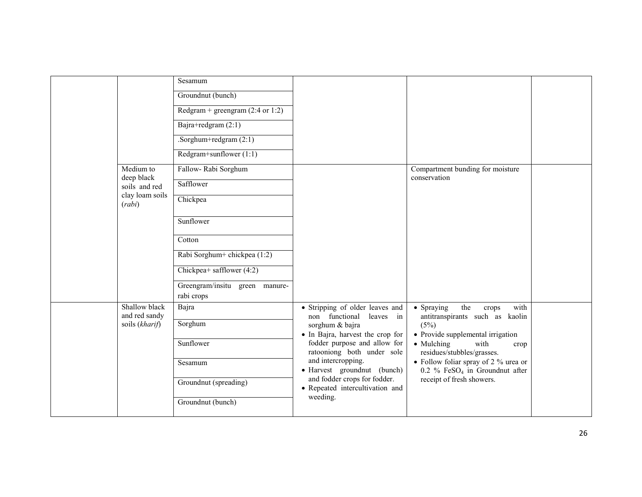|                                | Sesamum                                     |                                                                 |                                                                                       |  |
|--------------------------------|---------------------------------------------|-----------------------------------------------------------------|---------------------------------------------------------------------------------------|--|
|                                | Groundnut (bunch)                           |                                                                 |                                                                                       |  |
|                                | Redgram + greengram $(2:4 \text{ or } 1:2)$ |                                                                 |                                                                                       |  |
|                                | Bajra+redgram (2:1)                         |                                                                 |                                                                                       |  |
|                                | .Sorghum+redgram $(2:1)$                    |                                                                 |                                                                                       |  |
|                                | Redgram+sunflower $(1:1)$                   |                                                                 |                                                                                       |  |
| Medium to<br>deep black        | Fallow-Rabi Sorghum                         |                                                                 | Compartment bunding for moisture<br>conservation                                      |  |
| soils and red                  | Safflower                                   |                                                                 |                                                                                       |  |
| clay loam soils<br>(rabi)      | Chickpea                                    |                                                                 |                                                                                       |  |
|                                | Sunflower                                   |                                                                 |                                                                                       |  |
|                                |                                             |                                                                 |                                                                                       |  |
|                                | Cotton                                      |                                                                 |                                                                                       |  |
|                                | Rabi Sorghum+ chickpea (1:2)                |                                                                 |                                                                                       |  |
|                                | Chickpea+ safflower $(4:2)$                 |                                                                 |                                                                                       |  |
|                                | Greengram/insitu green manure-              |                                                                 |                                                                                       |  |
|                                | rabi crops                                  |                                                                 |                                                                                       |  |
| Shallow black<br>and red sandy | Bajra                                       | • Stripping of older leaves and<br>non functional leaves in     | • Spraying<br>the<br>with<br>crops<br>antitranspirants such as kaolin                 |  |
| soils (kharif)                 | Sorghum                                     | sorghum & bajra                                                 | (5%)                                                                                  |  |
|                                | Sunflower                                   | • In Bajra, harvest the crop for                                | • Provide supplemental irrigation                                                     |  |
|                                |                                             | fodder purpose and allow for<br>ratooniong both under sole      | • Mulching<br>with<br>crop<br>residues/stubbles/grasses.                              |  |
|                                | Sesamum                                     | and intercropping.<br>• Harvest groundnut (bunch)               | • Follow foliar spray of 2 % urea or<br>$0.2 \%$ FeSO <sub>4</sub> in Groundnut after |  |
|                                | Groundnut (spreading)                       | and fodder crops for fodder.<br>• Repeated intercultivation and | receipt of fresh showers.                                                             |  |
|                                | Groundnut (bunch)                           | weeding.                                                        |                                                                                       |  |
|                                |                                             |                                                                 |                                                                                       |  |
|                                |                                             |                                                                 |                                                                                       |  |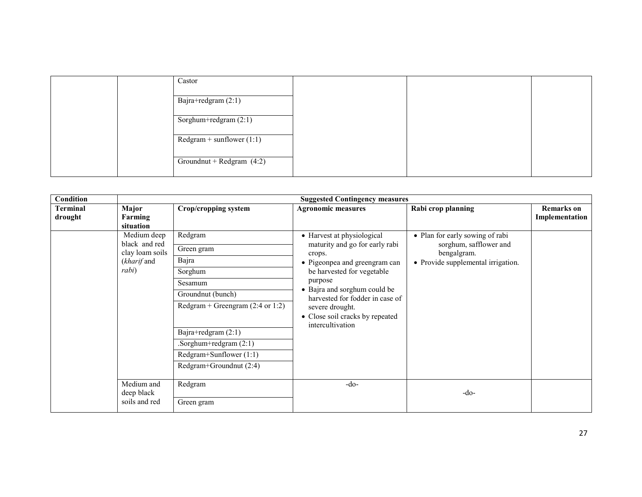| Castor                      |  |  |
|-----------------------------|--|--|
| Bajra+redgram (2:1)         |  |  |
| Sorghum+redgram (2:1)       |  |  |
| $Redgram + sunflower (1:1)$ |  |  |
| Groundnut + Redgram $(4:2)$ |  |  |

| Condition                  |                                                                         | <b>Suggested Contingency measures</b>                                                                                                                                                                                          |                                                                                                                                                                                                                                                                                               |                                                                                                                |                                     |  |  |
|----------------------------|-------------------------------------------------------------------------|--------------------------------------------------------------------------------------------------------------------------------------------------------------------------------------------------------------------------------|-----------------------------------------------------------------------------------------------------------------------------------------------------------------------------------------------------------------------------------------------------------------------------------------------|----------------------------------------------------------------------------------------------------------------|-------------------------------------|--|--|
| <b>Terminal</b><br>drought | Major<br>Farming<br>situation                                           | <b>Crop/cropping system</b>                                                                                                                                                                                                    | <b>Agronomic measures</b>                                                                                                                                                                                                                                                                     | Rabi crop planning                                                                                             | <b>Remarks</b> on<br>Implementation |  |  |
|                            | Medium deep<br>black and red<br>clay loam soils<br>(kharif and<br>rabi) | Redgram<br>Green gram<br>Bajra<br>Sorghum<br>Sesamum<br>Groundnut (bunch)<br>Redgram + Greengram $(2:4 \text{ or } 1:2)$<br>Bajra+redgram (2:1)<br>Sorghum+redgram (2:1)<br>Redgram+Sunflower (1:1)<br>Redgram+Groundnut (2:4) | • Harvest at physiological<br>maturity and go for early rabi<br>crops.<br>• Pigeonpea and greengram can<br>be harvested for vegetable<br>purpose<br>• Bajra and sorghum could be<br>harvested for fodder in case of<br>severe drought.<br>• Close soil cracks by repeated<br>intercultivation | • Plan for early sowing of rabi<br>sorghum, safflower and<br>bengalgram.<br>• Provide supplemental irrigation. |                                     |  |  |
|                            | Medium and<br>deep black<br>soils and red                               | Redgram<br>Green gram                                                                                                                                                                                                          | $-do-$                                                                                                                                                                                                                                                                                        | $-do-$                                                                                                         |                                     |  |  |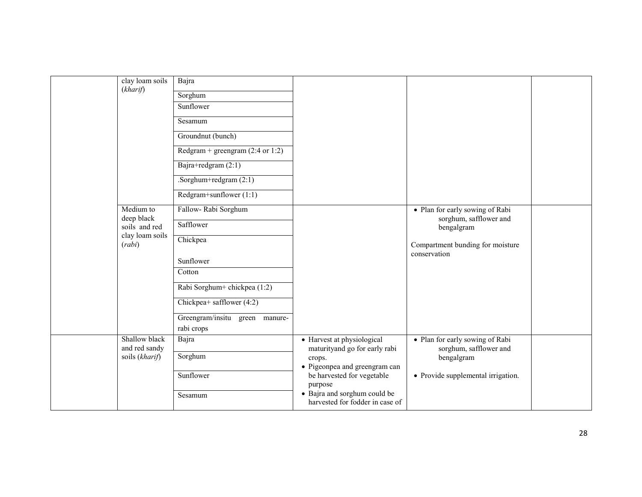|  | clay loam soils<br>(kharif)     | Bajra                                       |                                         |                                      |  |
|--|---------------------------------|---------------------------------------------|-----------------------------------------|--------------------------------------|--|
|  |                                 | Sorghum                                     |                                         |                                      |  |
|  |                                 | Sunflower                                   |                                         |                                      |  |
|  |                                 | Sesamum                                     |                                         |                                      |  |
|  |                                 | Groundnut (bunch)                           |                                         |                                      |  |
|  |                                 | Redgram + greengram $(2:4 \text{ or } 1:2)$ |                                         |                                      |  |
|  |                                 | Bajra+redgram (2:1)                         |                                         |                                      |  |
|  |                                 | .Sorghum+redgram $(2:1)$                    |                                         |                                      |  |
|  |                                 | Redgram+sunflower (1:1)                     |                                         |                                      |  |
|  | Medium to                       | Fallow-Rabi Sorghum                         |                                         | • Plan for early sowing of Rabi      |  |
|  | deep black<br>soils and red     | Safflower                                   |                                         | sorghum, safflower and<br>bengalgram |  |
|  | clay loam soils<br>(rabi)       | Chickpea                                    |                                         | Compartment bunding for moisture     |  |
|  |                                 |                                             |                                         | conservation                         |  |
|  |                                 | Sunflower                                   |                                         |                                      |  |
|  |                                 | Cotton                                      |                                         |                                      |  |
|  |                                 | Rabi Sorghum+ chickpea (1:2)                |                                         |                                      |  |
|  |                                 | Chickpea+ safflower $(4:2)$                 |                                         |                                      |  |
|  |                                 | Greengram/insitu green manure-              |                                         |                                      |  |
|  |                                 | rabi crops                                  |                                         |                                      |  |
|  | Shallow black                   | Bajra                                       | • Harvest at physiological              | • Plan for early sowing of Rabi      |  |
|  | and red sandy<br>soils (kharif) | Sorghum                                     | maturityand go for early rabi<br>crops. | sorghum, safflower and<br>bengalgram |  |
|  |                                 |                                             | • Pigeonpea and greengram can           |                                      |  |
|  |                                 | Sunflower                                   | be harvested for vegetable              | • Provide supplemental irrigation.   |  |
|  |                                 | Sesamum                                     | purpose<br>• Bajra and sorghum could be |                                      |  |
|  |                                 |                                             | harvested for fodder in case of         |                                      |  |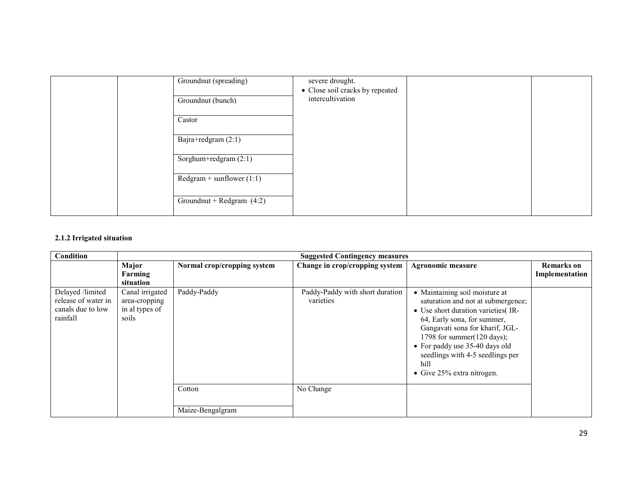|  | Groundnut (spreading)       | severe drought.<br>• Close soil cracks by repeated |  |
|--|-----------------------------|----------------------------------------------------|--|
|  | Groundnut (bunch)           | intercultivation                                   |  |
|  | Castor                      |                                                    |  |
|  | Bajra+redgram (2:1)         |                                                    |  |
|  | Sorghum+redgram (2:1)       |                                                    |  |
|  | $Redgram + sunflower (1:1)$ |                                                    |  |
|  | Groundnut + Redgram $(4:2)$ |                                                    |  |

## 2.1.2 Irrigated situation

| Condition                                                                |                                                             | <b>Suggested Contingency measures</b> |                                              |                                                                                                                                                                                                                                                                                                                                      |                                     |  |  |
|--------------------------------------------------------------------------|-------------------------------------------------------------|---------------------------------------|----------------------------------------------|--------------------------------------------------------------------------------------------------------------------------------------------------------------------------------------------------------------------------------------------------------------------------------------------------------------------------------------|-------------------------------------|--|--|
|                                                                          | Major<br>Farming<br>situation                               | Normal crop/cropping system           | Change in crop/cropping system               | <b>Agronomic measure</b>                                                                                                                                                                                                                                                                                                             | <b>Remarks</b> on<br>Implementation |  |  |
| Delayed /limited<br>release of water in<br>canals due to low<br>rainfall | Canal irrigated<br>area-cropping<br>in al types of<br>soils | Paddy-Paddy                           | Paddy-Paddy with short duration<br>varieties | • Maintaining soil moisture at<br>saturation and not at submergence;<br>• Use short duration varieties (IR-<br>64, Early sona, for summer,<br>Gangavati sona for kharif, JGL-<br>1798 for summer $(120 \text{ days});$<br>• For paddy use 35-40 days old<br>seedlings with 4-5 seedlings per<br>hill<br>• Give $25%$ extra nitrogen. |                                     |  |  |
|                                                                          |                                                             | Cotton                                | No Change                                    |                                                                                                                                                                                                                                                                                                                                      |                                     |  |  |
|                                                                          |                                                             | Maize-Bengalgram                      |                                              |                                                                                                                                                                                                                                                                                                                                      |                                     |  |  |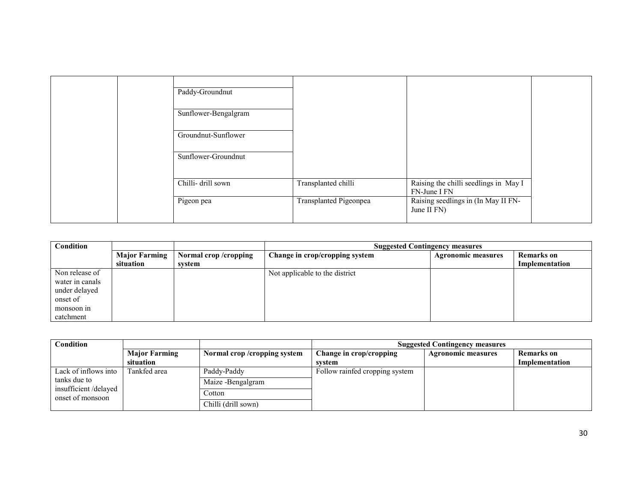|  | Paddy-Groundnut      |                        |                                                       |  |
|--|----------------------|------------------------|-------------------------------------------------------|--|
|  | Sunflower-Bengalgram |                        |                                                       |  |
|  | Groundnut-Sunflower  |                        |                                                       |  |
|  | Sunflower-Groundnut  |                        |                                                       |  |
|  | Chilli- drill sown   | Transplanted chilli    | Raising the chilli seedlings in May I<br>FN-June I FN |  |
|  | Pigeon pea           | Transplanted Pigeonpea | Raising seedlings in (In May II FN-<br>June II FN)    |  |

| Condition       |                      |                      | <b>Suggested Contingency measures</b> |                           |                |
|-----------------|----------------------|----------------------|---------------------------------------|---------------------------|----------------|
|                 | <b>Major Farming</b> | Normal crop/cropping | Change in crop/cropping system        | <b>Agronomic measures</b> | Remarks on     |
|                 | situation            | system               |                                       |                           | Implementation |
| Non release of  |                      |                      | Not applicable to the district        |                           |                |
| water in canals |                      |                      |                                       |                           |                |
| under delayed   |                      |                      |                                       |                           |                |
| onset of        |                      |                      |                                       |                           |                |
| monsoon in      |                      |                      |                                       |                           |                |
| catchment       |                      |                      |                                       |                           |                |

| Condition                                |                      |                             | <b>Suggested Contingency measures</b> |                           |                   |
|------------------------------------------|----------------------|-----------------------------|---------------------------------------|---------------------------|-------------------|
|                                          | <b>Major Farming</b> | Normal crop/cropping system | Change in crop/cropping               | <b>Agronomic measures</b> | <b>Remarks</b> on |
|                                          | situation            |                             | system                                |                           | Implementation    |
| Lack of inflows into                     | Tankfed area         | Paddy-Paddy                 | Follow rainfed cropping system        |                           |                   |
| tanks due to                             |                      | Maize -Bengalgram           |                                       |                           |                   |
| insufficient/delayed<br>onset of monsoon |                      | Cotton                      |                                       |                           |                   |
|                                          |                      | Chilli (drill sown)         |                                       |                           |                   |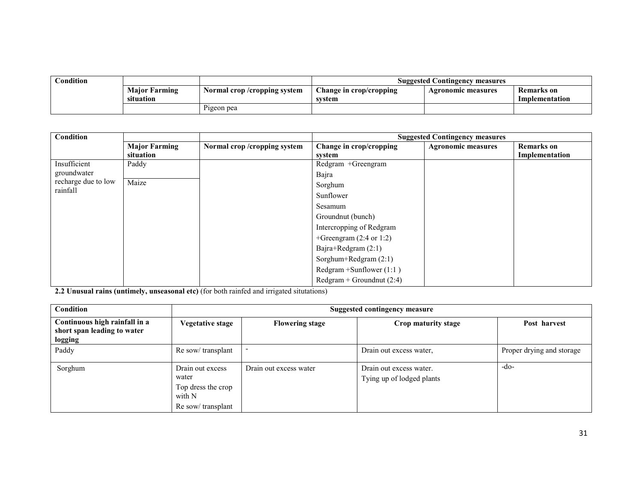| $\mathbf C$ ondition |                                   |                             | <b>Suggested Contingency measures</b>            |                    |                              |
|----------------------|-----------------------------------|-----------------------------|--------------------------------------------------|--------------------|------------------------------|
|                      | <b>Major Farming</b><br>situation | Normal crop/cropping system | $\blacksquare$ Change in crop/cropping<br>svstem | Agronomic measures | Remarks on<br>Implementation |
|                      |                                   | Pigeon pea                  |                                                  |                    |                              |

| <b>Condition</b>                |                      |                               |                                    | <b>Suggested Contingency measures</b> |                   |
|---------------------------------|----------------------|-------------------------------|------------------------------------|---------------------------------------|-------------------|
|                                 | <b>Major Farming</b> | Normal crop / cropping system | Change in crop/cropping            | <b>Agronomic measures</b>             | <b>Remarks</b> on |
|                                 | situation            |                               | system                             |                                       | Implementation    |
| Insufficient                    | Paddy                |                               | Redgram +Greengram                 |                                       |                   |
| groundwater                     |                      |                               | Bajra                              |                                       |                   |
| recharge due to low<br>rainfall | Maize                |                               | Sorghum                            |                                       |                   |
|                                 |                      |                               | Sunflower                          |                                       |                   |
|                                 |                      |                               | Sesamum                            |                                       |                   |
|                                 |                      |                               | Groundnut (bunch)                  |                                       |                   |
|                                 |                      |                               | Intercropping of Redgram           |                                       |                   |
|                                 |                      |                               | +Greengram $(2:4 \text{ or } 1:2)$ |                                       |                   |
|                                 |                      |                               | Bajra+Redgram (2:1)                |                                       |                   |
|                                 |                      |                               | Sorghum+Redgram (2:1)              |                                       |                   |
|                                 |                      |                               | Redgram $+$ Sunflower (1:1)        |                                       |                   |
|                                 |                      |                               | $Redgram + Groundnut(2:4)$         |                                       |                   |

2.2 Unusual rains (untimely, unseasonal etc) (for both rainfed and irrigated situtations)

| <b>Condition</b>                                                        |                                                                                | Suggested contingency measure |                                                      |                           |  |  |  |
|-------------------------------------------------------------------------|--------------------------------------------------------------------------------|-------------------------------|------------------------------------------------------|---------------------------|--|--|--|
| Continuous high rainfall in a<br>short span leading to water<br>logging | Vegetative stage                                                               | <b>Flowering stage</b>        | Crop maturity stage                                  | Post harvest              |  |  |  |
| Paddy                                                                   | Re sow/transplant                                                              |                               | Drain out excess water,                              | Proper drying and storage |  |  |  |
| Sorghum                                                                 | Drain out excess<br>water<br>Top dress the crop<br>with N<br>Re sow/transplant | Drain out excess water        | Drain out excess water.<br>Tying up of lodged plants | -do-                      |  |  |  |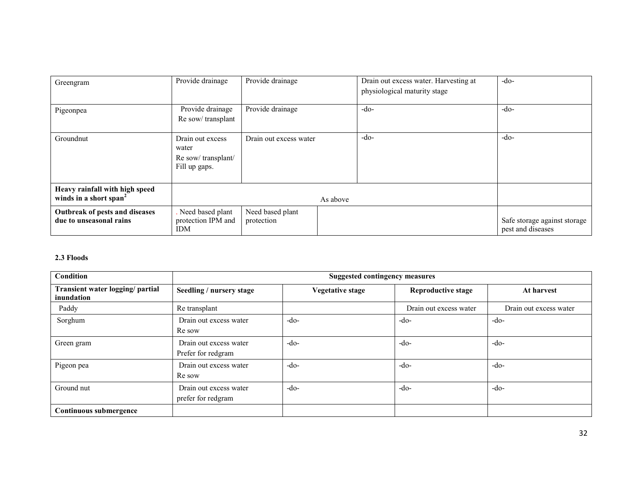| Greengram                                                            | Provide drainage                                                 | Provide drainage               |  | Drain out excess water. Harvesting at<br>physiological maturity stage |                                                   |        |        |
|----------------------------------------------------------------------|------------------------------------------------------------------|--------------------------------|--|-----------------------------------------------------------------------|---------------------------------------------------|--------|--------|
| Pigeonpea                                                            | Provide drainage<br>Re sow/transplant                            | Provide drainage               |  |                                                                       |                                                   | $-do-$ | $-do-$ |
| Groundnut                                                            | Drain out excess<br>water<br>Re sow/transplant/<br>Fill up gaps. | Drain out excess water         |  | $-do-$                                                                | $-do-$                                            |        |        |
| Heavy rainfall with high speed<br>winds in a short span <sup>2</sup> |                                                                  | As above                       |  |                                                                       |                                                   |        |        |
| Outbreak of pests and diseases<br>due to unseasonal rains            | Need based plant<br>protection IPM and<br><b>IDM</b>             | Need based plant<br>protection |  |                                                                       | Safe storage against storage<br>pest and diseases |        |        |

## 2.3 Floods

| Condition                                      | <b>Suggested contingency measures</b>        |                  |                           |                        |  |  |
|------------------------------------------------|----------------------------------------------|------------------|---------------------------|------------------------|--|--|
| Transient water logging/ partial<br>inundation | Seedling / nursery stage                     | Vegetative stage | <b>Reproductive stage</b> | At harvest             |  |  |
| Paddy                                          | Re transplant                                |                  | Drain out excess water    | Drain out excess water |  |  |
| Sorghum                                        | Drain out excess water<br>Re sow             | $-do-$           | $-do-$                    | $-do-$                 |  |  |
| Green gram                                     | Drain out excess water<br>Prefer for redgram | $-do-$           | $-do-$                    | $-do-$                 |  |  |
| Pigeon pea                                     | Drain out excess water<br>Re sow             | $-do-$           | $-do-$                    | $-do-$                 |  |  |
| Ground nut                                     | Drain out excess water<br>prefer for redgram | $-do-$           | $-do-$                    | $-do-$                 |  |  |
| Continuous submergence                         |                                              |                  |                           |                        |  |  |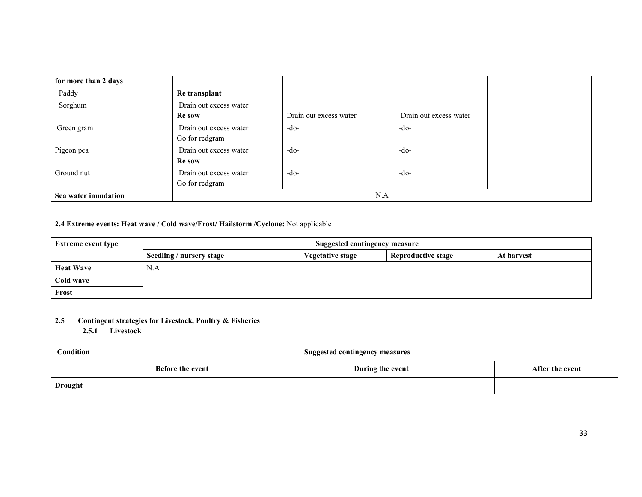| for more than 2 days |                                          |                        |                        |  |  |
|----------------------|------------------------------------------|------------------------|------------------------|--|--|
| Paddy                | Re transplant                            |                        |                        |  |  |
| Sorghum              | Drain out excess water<br><b>Re</b> sow  | Drain out excess water | Drain out excess water |  |  |
| Green gram           | Drain out excess water<br>Go for redgram | $-do-$                 | $-do-$                 |  |  |
| Pigeon pea           | Drain out excess water<br><b>Re</b> sow  | $-do-$                 | $-do-$                 |  |  |
| Ground nut           | Drain out excess water<br>Go for redgram | $-do-$                 | $-do-$                 |  |  |
| Sea water inundation | N.A                                      |                        |                        |  |  |

#### 2.4 Extreme events: Heat wave / Cold wave/Frost/ Hailstorm /Cyclone: Not applicable

| <b>Extreme event type</b> | <b>Suggested contingency measure</b>                                                           |  |  |  |  |  |
|---------------------------|------------------------------------------------------------------------------------------------|--|--|--|--|--|
|                           | <b>Reproductive stage</b><br><b>Vegetative stage</b><br>Seedling / nursery stage<br>At harvest |  |  |  |  |  |
| <b>Heat Wave</b>          | N.A                                                                                            |  |  |  |  |  |
| Cold wave                 |                                                                                                |  |  |  |  |  |
| Frost                     |                                                                                                |  |  |  |  |  |

# 2.5 Contingent strategies for Livestock, Poultry & Fisheries

2.5.1 Livestock

| Condition      | <b>Suggested contingency measures</b> |                  |                 |  |  |
|----------------|---------------------------------------|------------------|-----------------|--|--|
|                | Before the event                      | During the event | After the event |  |  |
| <b>Drought</b> |                                       |                  |                 |  |  |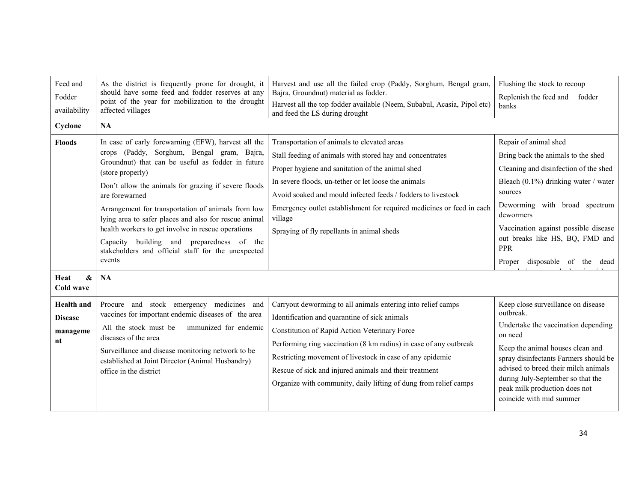| Feed and<br>Fodder<br>availability<br>Cyclone | As the district is frequently prone for drought, it<br>should have some feed and fodder reserves at any<br>point of the year for mobilization to the drought<br>affected villages<br><b>NA</b>                                                                                                                                                                                                                                                                                                                                                      | Harvest and use all the failed crop (Paddy, Sorghum, Bengal gram,<br>Bajra, Groundnut) material as fodder.<br>Harvest all the top fodder available (Neem, Subabul, Acasia, Pipol etc)<br>and feed the LS during drought                                                                                                                                                                                                | Flushing the stock to recoup<br>Replenish the feed and<br>fodder<br>banks                                                                                                                                                                                                                                                             |
|-----------------------------------------------|-----------------------------------------------------------------------------------------------------------------------------------------------------------------------------------------------------------------------------------------------------------------------------------------------------------------------------------------------------------------------------------------------------------------------------------------------------------------------------------------------------------------------------------------------------|------------------------------------------------------------------------------------------------------------------------------------------------------------------------------------------------------------------------------------------------------------------------------------------------------------------------------------------------------------------------------------------------------------------------|---------------------------------------------------------------------------------------------------------------------------------------------------------------------------------------------------------------------------------------------------------------------------------------------------------------------------------------|
| <b>Floods</b><br>&<br>Heat                    | In case of early forewarning (EFW), harvest all the<br>crops (Paddy, Sorghum, Bengal gram, Bajra,<br>Groundnut) that can be useful as fodder in future<br>(store properly)<br>Don't allow the animals for grazing if severe floods<br>are forewarned<br>Arrangement for transportation of animals from low<br>lying area to safer places and also for rescue animal<br>health workers to get involve in rescue operations<br>Capacity building and preparedness of the<br>stakeholders and official staff for the unexpected<br>events<br><b>NA</b> | Transportation of animals to elevated areas<br>Stall feeding of animals with stored hay and concentrates<br>Proper hygiene and sanitation of the animal shed<br>In severe floods, un-tether or let loose the animals<br>Avoid soaked and mould infected feeds / fodders to livestock<br>Emergency outlet establishment for required medicines or feed in each<br>village<br>Spraying of fly repellants in animal sheds | Repair of animal shed<br>Bring back the animals to the shed<br>Cleaning and disinfection of the shed<br>Bleach (0.1%) drinking water / water<br>sources<br>Deworming with broad spectrum<br>dewormers<br>Vaccination against possible disease<br>out breaks like HS, BQ, FMD and<br><b>PPR</b><br>disposable<br>of the dead<br>Proper |
| Cold wave<br><b>Health</b> and                | Procure and stock emergency medicines and                                                                                                                                                                                                                                                                                                                                                                                                                                                                                                           | Carryout deworming to all animals entering into relief camps                                                                                                                                                                                                                                                                                                                                                           | Keep close surveillance on disease                                                                                                                                                                                                                                                                                                    |
| <b>Disease</b><br>manageme<br>nt              | vaccines for important endemic diseases of the area<br>All the stock must be<br>immunized for endemic<br>diseases of the area<br>Surveillance and disease monitoring network to be<br>established at Joint Director (Animal Husbandry)<br>office in the district                                                                                                                                                                                                                                                                                    | Identification and quarantine of sick animals<br>Constitution of Rapid Action Veterinary Force<br>Performing ring vaccination (8 km radius) in case of any outbreak<br>Restricting movement of livestock in case of any epidemic<br>Rescue of sick and injured animals and their treatment<br>Organize with community, daily lifting of dung from relief camps                                                         | outbreak.<br>Undertake the vaccination depending<br>on need<br>Keep the animal houses clean and<br>spray disinfectants Farmers should be<br>advised to breed their milch animals<br>during July-September so that the<br>peak milk production does not<br>coincide with mid summer                                                    |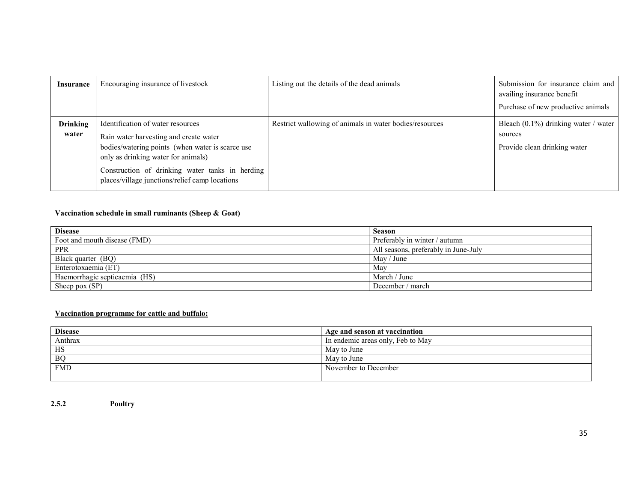| <b>Insurance</b>         | Encouraging insurance of livestock                                                                                                                                                                                                                                          | Listing out the details of the dead animals             | Submission for insurance claim and<br>availing insurance benefit<br>Purchase of new productive animals |
|--------------------------|-----------------------------------------------------------------------------------------------------------------------------------------------------------------------------------------------------------------------------------------------------------------------------|---------------------------------------------------------|--------------------------------------------------------------------------------------------------------|
| <b>Drinking</b><br>water | Identification of water resources<br>Rain water harvesting and create water<br>bodies/watering points (when water is scarce use<br>only as drinking water for animals)<br>Construction of drinking water tanks in herding<br>places/village junctions/relief camp locations | Restrict wallowing of animals in water bodies/resources | Bleach $(0.1\%)$ drinking water / water<br>sources<br>Provide clean drinking water                     |

## Vaccination schedule in small ruminants (Sheep & Goat)

| <b>Disease</b>                | <b>Season</b>                        |
|-------------------------------|--------------------------------------|
| Foot and mouth disease (FMD)  | Preferably in winter / autumn        |
| <b>PPR</b>                    | All seasons, preferably in June-July |
| Black quarter (BQ)            | $\text{Mav}/\text{June}$             |
| Enterotoxaemia (ET)           | May                                  |
| Haemorrhagic septicaemia (HS) | March / June                         |
| Sheep pox (SP)                | December / march                     |

#### Vaccination programme for cattle and buffalo:

| <b>Disease</b> | Age and season at vaccination     |
|----------------|-----------------------------------|
| Anthrax        | In endemic areas only, Feb to May |
| HS             | May to June                       |
| B <sub>O</sub> | May to June                       |
| <b>FMD</b>     | November to December              |
|                |                                   |

2.5.2Poultry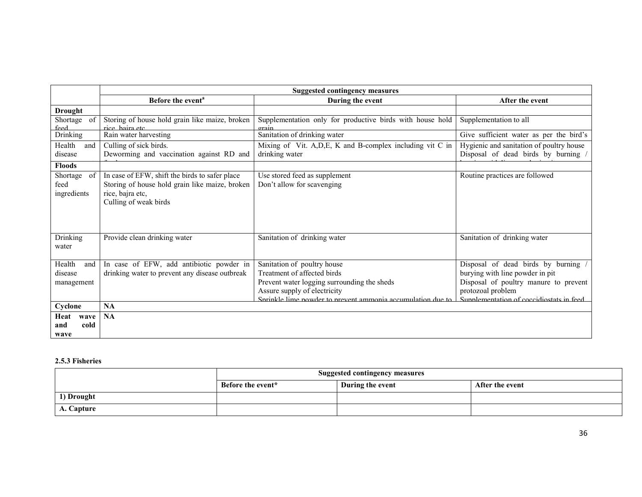|                                       |                                                                                                                      | <b>Suggested contingency measures</b>                       |                                          |
|---------------------------------------|----------------------------------------------------------------------------------------------------------------------|-------------------------------------------------------------|------------------------------------------|
|                                       | Before the event <sup>a</sup>                                                                                        | During the event                                            | After the event                          |
| <b>Drought</b>                        |                                                                                                                      |                                                             |                                          |
| Shortage of                           | Storing of house hold grain like maize, broken                                                                       | Supplementation only for productive birds with house hold   | Supplementation to all                   |
| feed<br><b>Drinking</b>               | rice haira etc<br>Rain water harvesting                                                                              | orain<br>Sanitation of drinking water                       | Give sufficient water as per the bird's  |
| Health<br>and                         | Culling of sick birds.                                                                                               | Mixing of Vit. A,D,E, K and B-complex including vit C in    | Hygienic and sanitation of poultry house |
| disease                               | Deworming and vaccination against RD and                                                                             | drinking water                                              | Disposal of dead birds by burning /      |
| <b>Floods</b>                         |                                                                                                                      |                                                             |                                          |
| Shortage<br>of<br>feed<br>ingredients | In case of EFW, shift the birds to safer place<br>Storing of house hold grain like maize, broken<br>rice, bajra etc, | Use stored feed as supplement<br>Don't allow for scavenging | Routine practices are followed           |
|                                       | Culling of weak birds                                                                                                |                                                             |                                          |
| Drinking<br>water                     | Provide clean drinking water                                                                                         | Sanitation of drinking water                                | Sanitation of drinking water             |
| Health<br>and                         | In case of EFW, add antibiotic powder in                                                                             | Sanitation of poultry house                                 | Disposal of dead birds by burning        |
| disease                               | drinking water to prevent any disease outbreak                                                                       | Treatment of affected birds                                 | burying with line powder in pit          |
| management                            |                                                                                                                      | Prevent water logging surrounding the sheds                 | Disposal of poultry manure to prevent    |
|                                       |                                                                                                                      | Assure supply of electricity                                | protozoal problem                        |
| Cyclone                               | <b>NA</b>                                                                                                            | Sprinkle lime powder to prevent ammonia accumulation due to | Supplementation of coccidiostats in feed |
| Heat<br>wave                          | <b>NA</b>                                                                                                            |                                                             |                                          |
| cold<br>and                           |                                                                                                                      |                                                             |                                          |
| wave                                  |                                                                                                                      |                                                             |                                          |

## 2.5.3 Fisheries

|            | <b>Suggested contingency measures</b> |                  |                 |  |  |
|------------|---------------------------------------|------------------|-----------------|--|--|
|            | Before the event*                     | During the event | After the event |  |  |
| 1) Drought |                                       |                  |                 |  |  |
| A. Capture |                                       |                  |                 |  |  |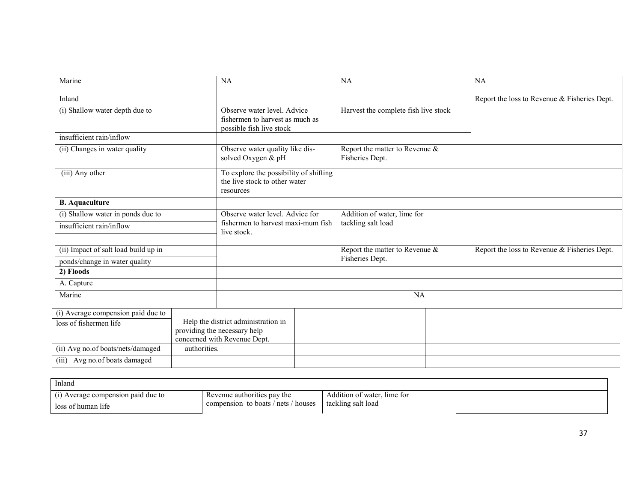| Marine                                            | <b>NA</b>                                                                                           |           | <b>NA</b>                                         |  | <b>NA</b>                                    |
|---------------------------------------------------|-----------------------------------------------------------------------------------------------------|-----------|---------------------------------------------------|--|----------------------------------------------|
| Inland                                            |                                                                                                     |           |                                                   |  | Report the loss to Revenue & Fisheries Dept. |
| (i) Shallow water depth due to                    | Observe water level. Advice<br>fishermen to harvest as much as<br>possible fish live stock          |           | Harvest the complete fish live stock              |  |                                              |
| insufficient rain/inflow                          |                                                                                                     |           |                                                   |  |                                              |
| (ii) Changes in water quality                     | Observe water quality like dis-<br>solved Oxygen & pH                                               |           | Report the matter to Revenue &<br>Fisheries Dept. |  |                                              |
| (iii) Any other                                   | To explore the possibility of shifting<br>the live stock to other water<br>resources                |           |                                                   |  |                                              |
| <b>B.</b> Aquaculture                             |                                                                                                     |           |                                                   |  |                                              |
| (i) Shallow water in ponds due to                 | Observe water level. Advice for                                                                     |           | Addition of water, lime for                       |  |                                              |
| insufficient rain/inflow                          | fishermen to harvest maxi-mum fish<br>live stock.                                                   |           | tackling salt load                                |  |                                              |
| (ii) Impact of salt load build up in              |                                                                                                     |           | Report the matter to Revenue &                    |  | Report the loss to Revenue & Fisheries Dept. |
| ponds/change in water quality                     |                                                                                                     |           | Fisheries Dept.                                   |  |                                              |
| 2) Floods                                         |                                                                                                     |           |                                                   |  |                                              |
| A. Capture                                        |                                                                                                     |           |                                                   |  |                                              |
| Marine                                            |                                                                                                     | <b>NA</b> |                                                   |  |                                              |
| (i) Average compension paid due to                |                                                                                                     |           |                                                   |  |                                              |
| loss of fishermen life                            | Help the district administration in<br>providing the necessary help<br>concerned with Revenue Dept. |           |                                                   |  |                                              |
| (ii) Avg no.of boats/nets/damaged<br>authorities. |                                                                                                     |           |                                                   |  |                                              |
| (iii) Avg no. of boats damaged                    |                                                                                                     |           |                                                   |  |                                              |

| Inland                         |                                     |                             |  |
|--------------------------------|-------------------------------------|-----------------------------|--|
| Average compension paid due to | Revenue authorities pay the         | Addition of water, lime for |  |
| loss of human life             | compension to boats / nets / houses | tackling salt load          |  |